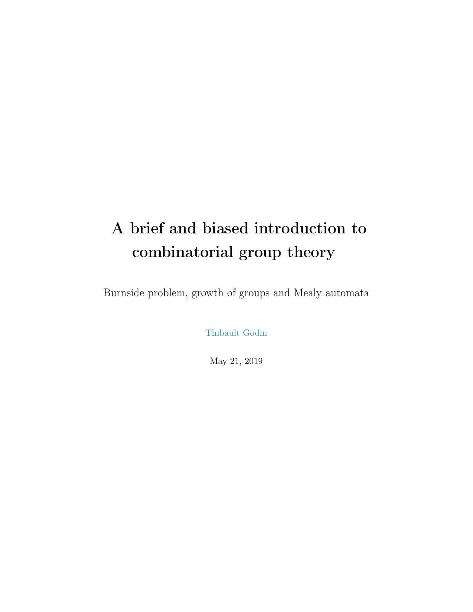# A brief and biased introduction to combinatorial group theory

Burnside problem, growth of groups and Mealy automata

[Thibault Godin](https://www.irif.fr/~godin/)

May 21, 2019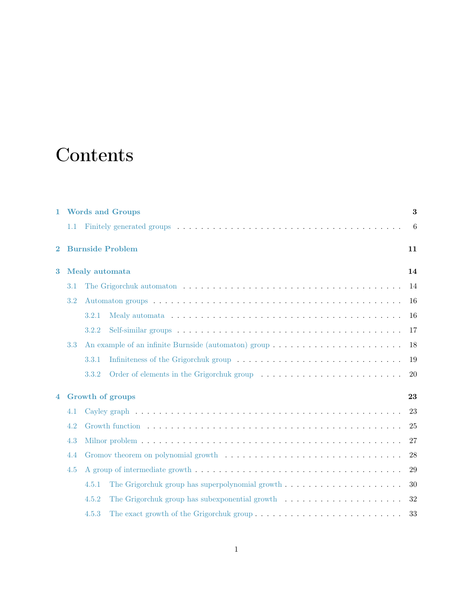# **Contents**

| $\mathbf{1}$ |     | <b>Words and Groups</b>                                                                              | 3  |
|--------------|-----|------------------------------------------------------------------------------------------------------|----|
|              | 1.1 |                                                                                                      | 6  |
| $\bf{2}$     |     | <b>Burnside Problem</b>                                                                              | 11 |
| 3            |     | Mealy automata                                                                                       | 14 |
|              | 3.1 |                                                                                                      | 14 |
|              | 3.2 |                                                                                                      | 16 |
|              |     | 3.2.1                                                                                                | 16 |
|              |     | 3.2.2                                                                                                | 17 |
|              | 3.3 |                                                                                                      | 18 |
|              |     | 3.3.1                                                                                                | 19 |
|              |     | 3.3.2                                                                                                | 20 |
| 4            |     | Growth of groups                                                                                     | 23 |
|              | 4.1 |                                                                                                      | 23 |
|              | 4.2 |                                                                                                      | 25 |
|              | 4.3 |                                                                                                      | 27 |
|              | 4.4 |                                                                                                      | 28 |
|              | 4.5 |                                                                                                      | 29 |
|              |     | The Grigorchuk group has superpolynomial growth $\ldots \ldots \ldots \ldots \ldots \ldots$<br>4.5.1 | 30 |
|              |     | 4.5.2                                                                                                | 32 |
|              |     | 4.5.3                                                                                                | 33 |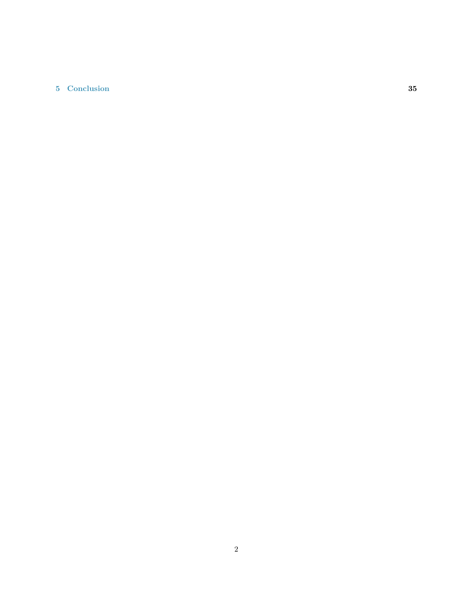### [5 Conclusion](#page-35-0) 35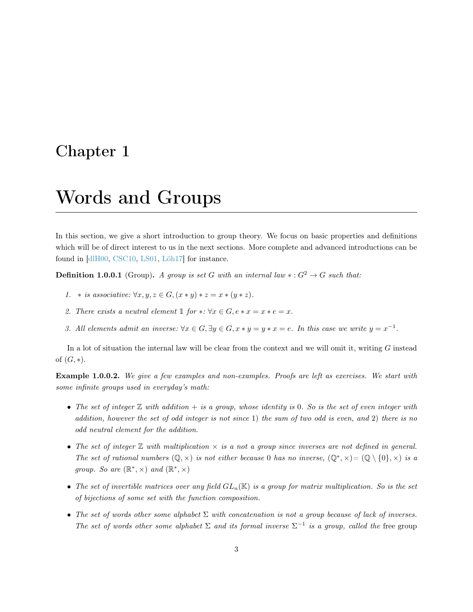## <span id="page-3-0"></span>Chapter 1

## Words and Groups

In this section, we give a short introduction to group theory. We focus on basic properties and definitions which will be of direct interest to us in the next sections. More complete and advanced introductions can be found in [\[dlH00,](#page-36-0) [CSC10,](#page-36-1) [LS01,](#page-37-0) [Löh17\]](#page-37-1) for instance.

**Definition 1.0.0.1** (Group). A group is set G with an internal law  $\ast : G^2 \to G$  such that:

- 1. \* is associative:  $\forall x, y, z \in G, (x * y) * z = x * (y * z)$ .
- 2. There exists a neutral element 1 for  $\ast: \forall x \in G, e \ast x = x \ast e = x$ .
- 3. All elements admit an inverse:  $\forall x \in G, \exists y \in G, x \ast y = y \ast x = e$ . In this case we write  $y = x^{-1}$ .

In a lot of situation the internal law will be clear from the context and we will omit it, writing G instead of  $(G, *)$ .

Example 1.0.0.2. We give a few examples and non-examples. Proofs are left as exercises. We start with some infinite groups used in everyday's math:

- The set of integer  $\mathbb Z$  with addition  $+$  is a group, whose identity is 0. So is the set of even integer with addition, however the set of odd integer is not since 1) the sum of two odd is even, and 2) there is no odd neutral element for the addition.
- The set of integer  $\mathbb Z$  with multiplication  $\times$  is a not a group since inverses are not defined in general. The set of rational numbers  $(\mathbb{Q}, \times)$  is not either because 0 has no inverse,  $(\mathbb{Q}^*, \times) = (\mathbb{Q} \setminus \{0\}, \times)$  is a group. So are  $(\mathbb{R}^*, \times)$  and  $(\mathbb{R}^*, \times)$
- The set of invertible matrices over any field  $GL_n(\mathbb{K})$  is a group for matrix multiplication. So is the set of bijections of some set with the function composition.
- The set of words other some alphabet  $\Sigma$  with concatenation is not a group because of lack of inverses. The set of words other some alphabet  $\Sigma$  and its formal inverse  $\Sigma^{-1}$  is a group, called the free group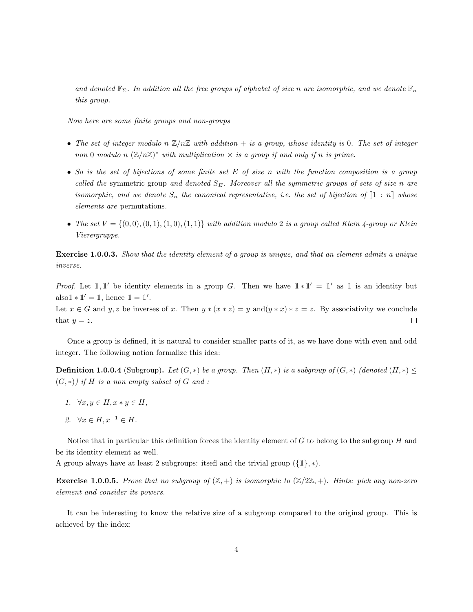and denoted  $\mathbb{F}_{\Sigma}$ . In addition all the free groups of alphabet of size n are isomorphic, and we denote  $\mathbb{F}_n$ this group.

Now here are some finite groups and non-groups

- The set of integer modulo n  $\mathbb{Z}/n\mathbb{Z}$  with addition + is a group, whose identity is 0. The set of integer non 0 modulo n  $(\mathbb{Z}/n\mathbb{Z})^*$  with multiplication  $\times$  is a group if and only if n is prime.
- So is the set of bijections of some finite set E of size n with the function composition is a group called the symmetric group and denoted  $S_E$ . Moreover all the symmetric groups of sets of size n are isomorphic, and we denote  $S_n$  the canonical representative, i.e. the set of bijection of  $\llbracket 1:n \rrbracket$  whose elements are permutations.
- The set  $V = \{(0,0), (0,1), (1,0), (1,1)\}$  with addition modulo 2 is a group called Klein 4-group or Klein Vierergruppe.

Exercise 1.0.0.3. Show that the identity element of a group is unique, and that an element admits a unique inverse.

*Proof.* Let  $\mathbb{1}, \mathbb{1}'$  be identity elements in a group G. Then we have  $\mathbb{1} * \mathbb{1}' = \mathbb{1}'$  as  $\mathbb{1}$  is an identity but also $1 * 1' = 1$ , hence  $1 = 1'$ .

Let  $x \in G$  and  $y, z$  be inverses of x. Then  $y * (x * z) = y$  and  $(y * x) * z = z$ . By associativity we conclude that  $y = z$ .  $\Box$ 

Once a group is defined, it is natural to consider smaller parts of it, as we have done with even and odd integer. The following notion formalize this idea:

**Definition 1.0.0.4** (Subgroup). Let  $(G, *)$  be a group. Then  $(H, *)$  is a subgroup of  $(G, *)$  (denoted  $(H, *) \leq$  $(G, *)$ ) if H is a non empty subset of G and :

- 1.  $\forall x, y \in H, x * y \in H$ ,
- 2.  $\forall x \in H, x^{-1} \in H$ .

Notice that in particular this definition forces the identity element of  $G$  to belong to the subgroup  $H$  and be its identity element as well.

A group always have at least 2 subgroups: itsefl and the trivial group  $(\{\mathbb{1}\}, *)$ .

**Exercise 1.0.0.5.** Prove that no subgroup of  $(\mathbb{Z}, +)$  is isomorphic to  $(\mathbb{Z}/2\mathbb{Z}, +)$ . Hints: pick any non-zero element and consider its powers.

It can be interesting to know the relative size of a subgroup compared to the original group. This is achieved by the index: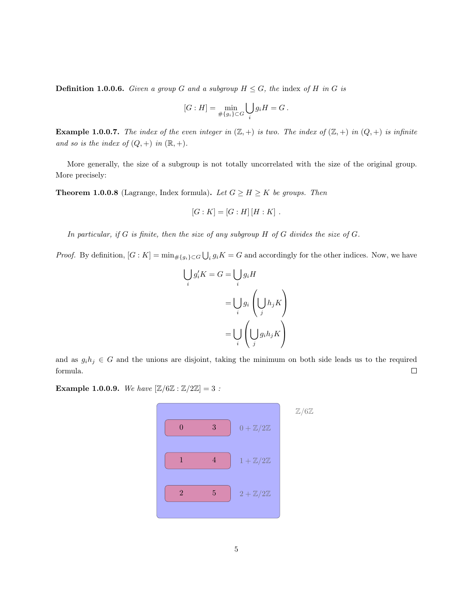**Definition 1.0.0.6.** Given a group G and a subgroup  $H \leq G$ , the index of H in G is

$$
[G:H] = \min_{\# \{g_i\} \subset G} \bigcup_i g_i H = G.
$$

**Example 1.0.0.7.** The index of the even integer in  $(\mathbb{Z}, +)$  is two. The index of  $(\mathbb{Z}, +)$  in  $(Q, +)$  is infinite and so is the index of  $(Q, +)$  in  $(\mathbb{R}, +)$ .

More generally, the size of a subgroup is not totally uncorrelated with the size of the original group. More precisely:

**Theorem 1.0.0.8** (Lagrange, Index formula). Let  $G \geq H \geq K$  be groups. Then

i

$$
[G:K] = [G:H][H:K] .
$$

In particular, if  $G$  is finite, then the size of any subgroup  $H$  of  $G$  divides the size of  $G$ .

*Proof.* By definition,  $[G:K] = \min_{\# \{g_i\} \subset G} \bigcup_i g_i K = G$  and accordingly for the other indices. Now, we have

$$
\bigcup_{i} g'_{i} K = G = \bigcup_{i} g_{i} H
$$

$$
= \bigcup_{i} g_{i} \left( \bigcup_{j} h_{j} K \right)
$$

$$
= \bigcup_{i} \left( \bigcup_{j} g_{i} h_{j} K \right)
$$

and as  $g_i h_j \in G$  and the unions are disjoint, taking the minimum on both side leads us to the required formula.  $\Box$ 

**Example 1.0.0.9.** We have  $[\mathbb{Z}/6\mathbb{Z} : \mathbb{Z}/2\mathbb{Z}] = 3$ :

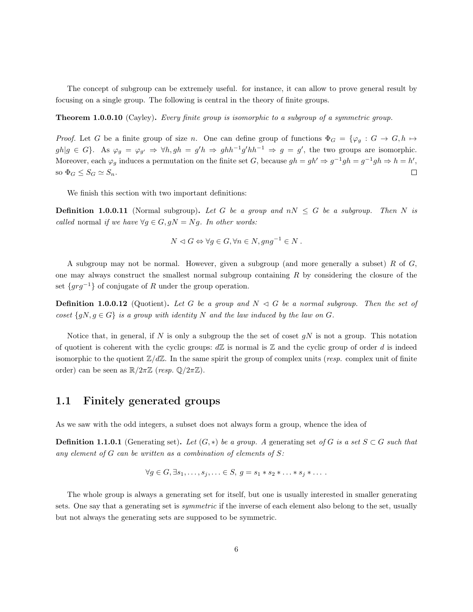The concept of subgroup can be extremely useful. for instance, it can allow to prove general result by focusing on a single group. The following is central in the theory of finite groups.

**Theorem 1.0.0.10** (Cayley). Every finite group is isomorphic to a subgroup of a symmetric group.

*Proof.* Let G be a finite group of size n. One can define group of functions  $\Phi_G = \{\varphi_g : G \to G, h \mapsto$  $gh|g \in G$ . As  $\varphi_g = \varphi_{g'} \Rightarrow \forall h, gh = g'h \Rightarrow ghh^{-1}g'hh^{-1} \Rightarrow g = g'$ , the two groups are isomorphic. Moreover, each  $\varphi_g$  induces a permutation on the finite set G, because  $gh = gh' \Rightarrow g^{-1}gh = g^{-1}gh \Rightarrow h = h'$ , so  $\Phi_G \leq S_G \simeq S_n$ .  $\Box$ 

We finish this section with two important definitions:

**Definition 1.0.0.11** (Normal subgroup). Let G be a group and  $nN \leq G$  be a subgroup. Then N is called normal if we have  $\forall g \in G, gN = Ng$ . In other words:

$$
N \lhd G \Leftrightarrow \forall g \in G, \forall n \in N, gng^{-1} \in N .
$$

A subgroup may not be normal. However, given a subgroup (and more generally a subset) R of G, one may always construct the smallest normal subgroup containing R by considering the closure of the set  $\{grg^{-1}\}\$  of conjugate of R under the group operation.

**Definition 1.0.0.12** (Quotient). Let G be a group and  $N \triangleleft G$  be a normal subgroup. Then the set of coset  $\{gN, g \in G\}$  is a group with identity N and the law induced by the law on G.

Notice that, in general, if N is only a subgroup the the set of coset  $gN$  is not a group. This notation of quotient is coherent with the cyclic groups:  $d\mathbb{Z}$  is normal is  $\mathbb Z$  and the cyclic group of order d is indeed isomorphic to the quotient  $\mathbb{Z}/d\mathbb{Z}$ . In the same spirit the group of complex units (*resp.* complex unit of finite order) can be seen as  $\mathbb{R}/2\pi\mathbb{Z}$  (resp.  $\mathbb{Q}/2\pi\mathbb{Z}$ ).

### <span id="page-6-0"></span>1.1 Finitely generated groups

As we saw with the odd integers, a subset does not always form a group, whence the idea of

**Definition 1.1.0.1** (Generating set). Let  $(G, *)$  be a group. A generating set of G is a set  $S \subset G$  such that any element of  $G$  can be written as a combination of elements of  $S$ :

$$
\forall g \in G, \exists s_1, \dots, s_j, \dots \in S, g = s_1 * s_2 * \dots * s_j * \dots
$$

The whole group is always a generating set for itself, but one is usually interested in smaller generating sets. One say that a generating set is *symmetric* if the inverse of each element also belong to the set, usually but not always the generating sets are supposed to be symmetric.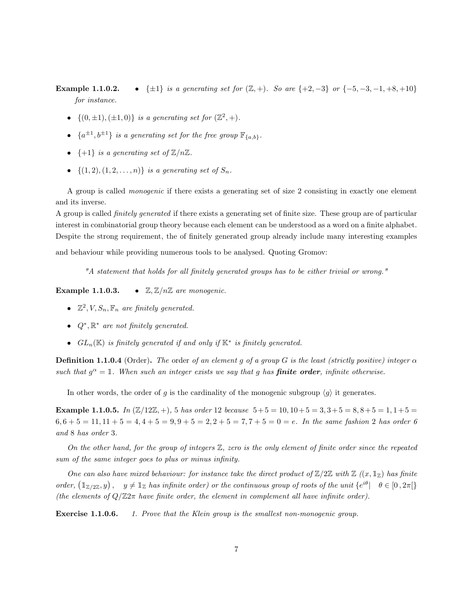**Example 1.1.0.2.** • { $\pm 1$ } is a generating set for  $(\mathbb{Z}, +)$ . So are { $+2, -3$ } or { $-5, -3, -1, +8, +10$ } for instance.

- $\{(0, \pm 1), (\pm 1, 0)\}\$ is a generating set for  $(\mathbb{Z}^2, +)$ .
- $\{a^{\pm 1}, b^{\pm 1}\}$  is a generating set for the free group  $\mathbb{F}_{\{a,b\}}$ .
- $\{+1\}$  is a generating set of  $\mathbb{Z}/n\mathbb{Z}$ .
- $\{(1, 2), (1, 2, \ldots, n)\}\$ is a generating set of  $S_n$ .

A group is called monogenic if there exists a generating set of size 2 consisting in exactly one element and its inverse.

A group is called finitely generated if there exists a generating set of finite size. These group are of particular interest in combinatorial group theory because each element can be understood as a word on a finite alphabet. Despite the strong requirement, the of finitely generated group already include many interesting examples

and behaviour while providing numerous tools to be analysed. Quoting Gromov:

"A statement that holds for all finitely generated groups has to be either trivial or wrong."

**Example 1.1.0.3.** •  $\mathbb{Z}, \mathbb{Z}/n\mathbb{Z}$  are monogenic.

- $\mathbb{Z}^2$ ,  $V$ ,  $S_n$ ,  $\mathbb{F}_n$  are finitely generated.
- $Q^*, \mathbb{R}^*$  are not finitely generated.
- $GL_n(\mathbb{K})$  is finitely generated if and only if  $\mathbb{K}^*$  is finitely generated.

**Definition 1.1.0.4** (Order). The order of an element g of a group G is the least (strictly positive) integer  $\alpha$ such that  $g^{\alpha} = \mathbb{1}$ . When such an integer exists we say that g has **finite order**, infinite otherwise.

In other words, the order of g is the cardinality of the monogenic subgroup  $\langle g \rangle$  it generates.

**Example 1.1.0.5.** In  $(\mathbb{Z}/12\mathbb{Z}, +)$ , 5 has order 12 because  $5+5 = 10, 10+5 = 3, 3+5 = 8, 8+5 = 1, 1+5 =$  $6, 6 + 5 = 11, 11 + 5 = 4, 4 + 5 = 9, 9 + 5 = 2, 2 + 5 = 7, 7 + 5 = 0 = e$ . In the same fashion 2 has order 6 and 8 has order 3.

On the other hand, for the group of integers  $\mathbb{Z}$ , zero is the only element of finite order since the repeated sum of the same integer goes to plus or minus infinity.

One can also have mixed behaviour: for instance take the direct product of  $\mathbb{Z}/2\mathbb{Z}$  with  $\mathbb{Z}$   $((x, \mathbb{1}_{\mathbb{Z}})$  has finite order,  $(\mathbb{1}_{\mathbb{Z}/2\mathbb{Z}}, y)$ ,  $y \neq \mathbb{1}_{\mathbb{Z}}$  has infinite order) or the continuous group of roots of the unit  $\{e^{i\theta} \mid \theta \in [0, 2\pi]\}$ (the elements of  $Q/\mathbb{Z}2\pi$  have finite order, the element in complement all have infinite order).

**Exercise 1.1.0.6.** 1. Prove that the Klein group is the smallest non-monogenic group.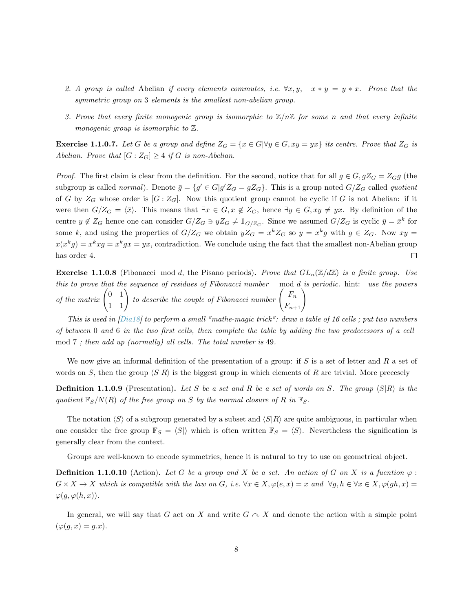- 2. A group is called Abelian if every elements commutes, i.e.  $\forall x, y, \quad x * y = y * x$ . Prove that the symmetric group on 3 elements is the smallest non-abelian group.
- 3. Prove that every finite monogenic group is isomorphic to  $\mathbb{Z}/n\mathbb{Z}$  for some n and that every infinite monogenic group is isomorphic to  $\mathbb Z$ .

<span id="page-8-0"></span>**Exercise 1.1.0.7.** Let G be a group and define  $Z_G = \{x \in G | \forall y \in G, xy = yx\}$  its centre. Prove that  $Z_G$  is Abelian. Prove that  $[G:Z_G]\geq 4$  if G is non-Abelian.

*Proof.* The first claim is clear from the definition. For the second, notice that for all  $g \in G$ ,  $gZ_G = Z_{G}g$  (the subgroup is called normal). Denote  $\bar{g} = \{g' \in G | g' Z_G = g Z_G\}$ . This is a group noted  $G/Z_G$  called quotient of G by  $Z_G$  whose order is  $[G:Z_G]$ . Now this quotient group cannot be cyclic if G is not Abelian: if it were then  $G/Z_G = \langle \bar{x} \rangle$ . This means that  $\exists x \in G, x \notin Z_G$ , hence  $\exists y \in G, xy \neq yx$ . By definition of the centre  $y \notin Z_G$  hence one can consider  $G/Z_G \ni yZ_G \neq \mathbb{1}_{G/Z_G}$ . Since we assumed  $G/Z_G$  is cyclic  $\bar{y} = \bar{x}^k$  for some k, and using the properties of  $G/Z_G$  we obtain  $yZ_G = x^k Z_G$  so  $y = x^k g$  with  $g \in Z_G$ . Now  $xy =$  $x(x^k g) = x^k x g = x^k gx = yx$ , contradiction. We conclude using the fact that the smallest non-Abelian group has order 4.  $\Box$ 

**Exercise 1.1.0.8** (Fibonacci mod d, the Pisano periods). Prove that  $GL_n(\mathbb{Z}/d\mathbb{Z})$  is a finite group. Use this to prove that the sequence of residues of Fibonacci number mod d is periodic. hint: use the powers of the matrix  $\begin{pmatrix} 0 & 1 \\ 1 & 1 \end{pmatrix}$  to describe the couple of Fibonacci number  $\begin{pmatrix} F_n \\ F_{n+1} \end{pmatrix}$ 

This is used in [\[Dia18\]](#page-36-2) to perform a small "mathe-magic trick": draw a table of 16 cells ; put two numbers of between 0 and 6 in the two first cells, then complete the table by adding the two predecessors of a cell mod 7 ; then add up (normally) all cells. The total number is 49.

We now give an informal definition of the presentation of a group: if  $S$  is a set of letter and  $R$  a set of words on S, then the group  $\langle S|R\rangle$  is the biggest group in which elements of R are trivial. More precessly

**Definition 1.1.0.9** (Presentation). Let S be a set and R be a set of words on S. The group  $\langle S|R \rangle$  is the quotient  $\mathbb{F}_S/N(R)$  of the free group on S by the normal closure of R in  $\mathbb{F}_S$ .

The notation  $\langle S \rangle$  of a subgroup generated by a subset and  $\langle S | R \rangle$  are quite ambiguous, in particular when one consider the free group  $\mathbb{F}_S = \langle S \rangle$  which is often written  $\mathbb{F}_S = \langle S \rangle$ . Nevertheless the signification is generally clear from the context.

Groups are well-known to encode symmetries, hence it is natural to try to use on geometrical object.

**Definition 1.1.0.10** (Action). Let G be a group and X be a set. An action of G on X is a fucntion  $\varphi$ :  $G \times X \to X$  which is compatible with the law on G, i.e.  $\forall x \in X, \varphi(e, x) = x$  and  $\forall g, h \in \forall x \in X, \varphi(gh, x) = g$  $\varphi(g, \varphi(h, x)).$ 

In general, we will say that G act on X and write  $G \curvearrowright X$  and denote the action with a simple point  $(\varphi(g, x) = g.x).$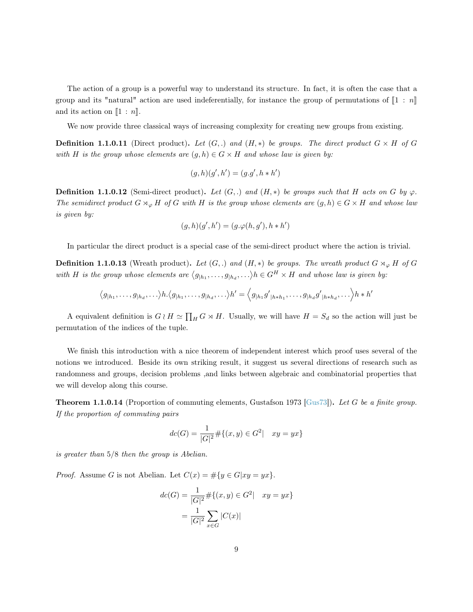The action of a group is a powerful way to understand its structure. In fact, it is often the case that a group and its "natural" action are used indeferentially, for instance the group of permutations of  $\llbracket 1 : n \rrbracket$ and its action on  $\llbracket 1 : n \rrbracket$ .

We now provide three classical ways of increasing complexity for creating new groups from existing.

**Definition 1.1.0.11** (Direct product). Let  $(G,.)$  and  $(H, *)$  be groups. The direct product  $G \times H$  of G with H is the group whose elements are  $(g, h) \in G \times H$  and whose law is given by:

$$
(g,h)(g',h') = (g.g', h * h')
$$

**Definition 1.1.0.12** (Semi-direct product). Let  $(G,.)$  and  $(H, *)$  be groups such that H acts on G by  $\varphi$ . The semidirect product  $G \rtimes_{\varphi} H$  of G with H is the group whose elements are  $(g, h) \in G \times H$  and whose law is given by:

$$
(g,h)(g',h') = (g.\varphi(h,g'),h*h')
$$

In particular the direct product is a special case of the semi-direct product where the action is trivial.

**Definition 1.1.0.13** (Wreath product). Let  $(G,.)$  and  $(H,*)$  be groups. The wreath product  $G \rtimes_{\varphi} H$  of G with H is the group whose elements are  $\langle g_{h_1}, \ldots, g_{h_d}, \ldots \rangle h \in G^H \times H$  and whose law is given by:

$$
\langle g_{|h_1},\ldots,g_{|h_d},\ldots\rangle h.\langle g_{|h_1},\ldots,g_{|h_d},\ldots\rangle h'=\langle g_{|h_1}g'_{|h*h_1},\ldots,g_{|h_d}g'_{|h*h_d},\ldots\rangle h*h'
$$

A equivalent definition is  $G \wr H \simeq \prod_H G \rtimes H$ . Usually, we will have  $H = S_d$  so the action will just be permutation of the indices of the tuple.

We finish this introduction with a nice theorem of independent interest which proof uses several of the notions we introduced. Beside its own striking result, it suggest us several directions of research such as randomness and groups, decision problems ,and links between algebraic and combinatorial properties that we will develop along this course.

**Theorem 1.1.0.14** (Proportion of commuting elements, Gustafson 1973 [\[Gus73\]](#page-37-2)). Let G be a finite group. If the proportion of commuting pairs

$$
dc(G) = \frac{1}{|G|^2} \# \{ (x, y) \in G^2 | \quad xy = yx \}
$$

is greater than 5/8 then the group is Abelian.

*Proof.* Assume G is not Abelian. Let  $C(x) = \#\{y \in G | xy = yx\}.$ 

$$
dc(G) = \frac{1}{|G|^2} \# \{ (x, y) \in G^2 | \quad xy = yx \}
$$

$$
= \frac{1}{|G|^2} \sum_{x \in G} |C(x)|
$$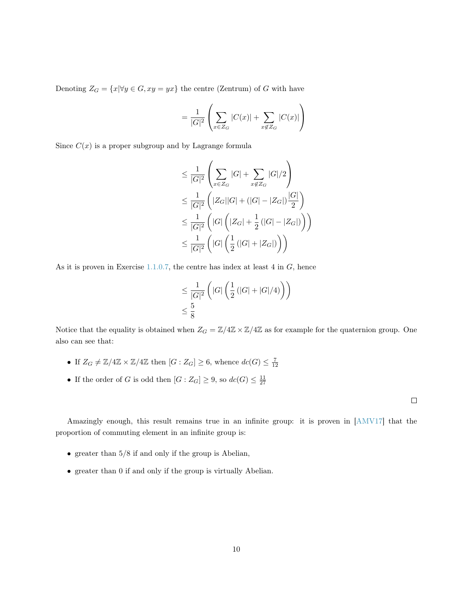Denoting  $Z_G = \{x | \forall y \in G, xy = yx\}$  the centre (Zentrum) of G with have

$$
= \frac{1}{|G|^2} \left( \sum_{x \in Z_G} |C(x)| + \sum_{x \notin Z_G} |C(x)| \right)
$$

Since  $C(x)$  is a proper subgroup and by Lagrange formula

$$
\leq \frac{1}{|G|^2} \left( \sum_{x \in Z_G} |G| + \sum_{x \notin Z_G} |G|/2 \right)
$$
  
\n
$$
\leq \frac{1}{|G|^2} \left( |Z_G||G| + (|G| - |Z_G|) \frac{|G|}{2} \right)
$$
  
\n
$$
\leq \frac{1}{|G|^2} \left( |G| \left( |Z_G| + \frac{1}{2} (|G| - |Z_G|) \right) \right)
$$
  
\n
$$
\leq \frac{1}{|G|^2} \left( |G| \left( \frac{1}{2} (|G| + |Z_G|) \right) \right)
$$

As it is proven in Exercise  $1.1.0.7$ , the centre has index at least  $4$  in  $G$ , hence

$$
\leq \frac{1}{|G|^2} \left( |G| \left( \frac{1}{2} \left( |G| + |G|/4 \right) \right) \right)
$$
  

$$
\leq \frac{5}{8}
$$

Notice that the equality is obtained when  $Z_G = \mathbb{Z}/4\mathbb{Z} \times \mathbb{Z}/4\mathbb{Z}$  as for example for the quaternion group. One also can see that:

- If  $Z_G \neq \mathbb{Z}/4\mathbb{Z} \times \mathbb{Z}/4\mathbb{Z}$  then  $[G : Z_G] \geq 6$ , whence  $dc(G) \leq \frac{7}{12}$
- If the order of G is odd then  $[G:Z_G] \geq 9$ , so  $dc(G) \leq \frac{11}{27}$

 $\Box$ 

Amazingly enough, this result remains true in an infinite group: it is proven in [\[AMV17\]](#page-36-3) that the proportion of commuting element in an infinite group is:

- greater than 5/8 if and only if the group is Abelian,
- greater than 0 if and only if the group is virtually Abelian.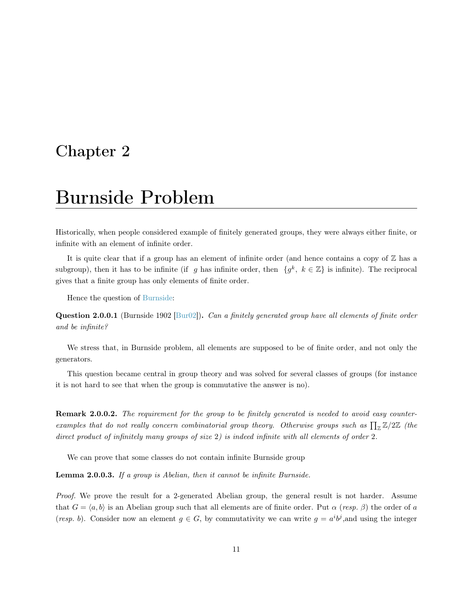## <span id="page-11-0"></span>Chapter 2

## Burnside Problem

Historically, when people considered example of finitely generated groups, they were always either finite, or infinite with an element of infinite order.

It is quite clear that if a group has an element of infinite order (and hence contains a copy of  $\mathbb{Z}$  has a subgroup), then it has to be infinite (if g has infinite order, then  $\{g^k, k \in \mathbb{Z}\}\$ is infinite). The reciprocal gives that a finite group has only elements of finite order.

Hence the question of [Burnside:](https://en.wikipedia.org/wiki/Burnside_problem)

**Question 2.0.0.1** (Burnside 1902 [\[Bur02\]](#page-36-4)). Can a finitely generated group have all elements of finite order and be infinite?

We stress that, in Burnside problem, all elements are supposed to be of finite order, and not only the generators.

This question became central in group theory and was solved for several classes of groups (for instance it is not hard to see that when the group is commutative the answer is no).

**Remark 2.0.0.2.** The requirement for the group to be finitely generated is needed to avoid easy counterexamples that do not really concern combinatorial group theory. Otherwise groups such as  $\prod_{\mathbb{Z}} \mathbb{Z}/2\mathbb{Z}$  (the direct product of infinitely many groups of size 2) is indeed infinite with all elements of order 2.

We can prove that some classes do not contain infinite Burnside group

<span id="page-11-1"></span>Lemma 2.0.0.3. If a group is Abelian, then it cannot be infinite Burnside.

Proof. We prove the result for a 2-generated Abelian group, the general result is not harder. Assume that  $G = \langle a, b \rangle$  is an Abelian group such that all elements are of finite order. Put  $\alpha$  (resp.  $\beta$ ) the order of a (resp. b). Consider now an element  $g \in G$ , by commutativity we can write  $g = a^{i}b^{j}$ , and using the integer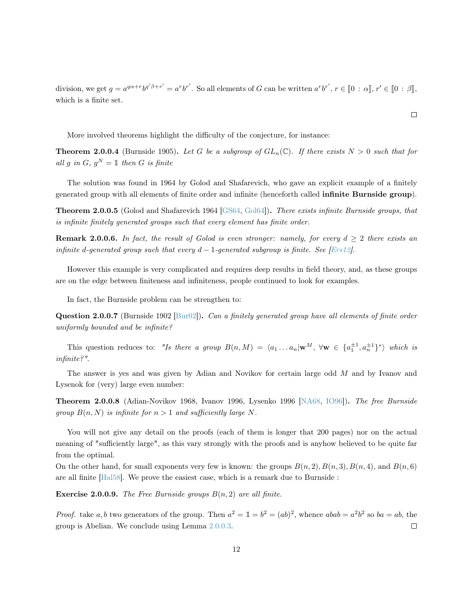division, we get  $g = a^{q\alpha+r}b^{q'\beta+r'} = a^rb^{r'}$ . So all elements of G can be written  $a^rb^{r'}$ ,  $r \in [0 : \alpha], r' \in [0 : \beta],$ which is a finite set.

More involved theorems highlight the difficulty of the conjecture, for instance:

**Theorem 2.0.0.4** (Burnside 1905). Let G be a subgroup of  $GL_n(\mathbb{C})$ . If there exists  $N > 0$  such that for all g in G,  $g^N = \mathbb{1}$  then G is finite

The solution was found in 1964 by Golod and Shafarevich, who gave an explicit example of a finitely generated group with all elements of finite order and infinite (henceforth called infinite Burnside group).

Theorem 2.0.0.5 (Golod and Shafarevich 1964 [\[GS64,](#page-37-3) [Gol64\]](#page-37-4)). There exists infinite Burnside groups, that is infinite finitely generated groups such that every element has finite order.

<span id="page-12-0"></span>**Remark 2.0.0.6.** In fact, the result of Golod is even stronger: namely, for every  $d \geq 2$  there exists an infinite d-generated group such that every  $d-1$ -generated subgroup is finite. See [\[Ers12\]](#page-36-5).

However this example is very complicated and requires deep results in field theory, and, as these groups are on the edge between finiteness and infiniteness, people continued to look for examples.

In fact, the Burnside problem can be strengthen to:

Question 2.0.0.7 (Burnside 1902 [\[Bur02\]](#page-36-4)). Can a finitely generated group have all elements of finite order uniformly bounded and be infinite?

This question reduces to: "Is there a group  $B(n, M) = \langle a_1 ... a_n | \mathbf{w}^M, \forall \mathbf{w} \in \{a_1^{\pm 1}, a_n^{\pm 1}\}^* \rangle$  which is infinite?".

The answer is yes and was given by Adian and Novikov for certain large odd M and by Ivanov and Lysenok for (very) large even number:

Theorem 2.0.0.8 (Adian-Novikov 1968, Ivanov 1996, Lysenko 1996 [\[NA68,](#page-37-5) [IO96\]](#page-37-6)). The free Burnside group  $B(n, N)$  is infinite for  $n > 1$  and sufficiently large N.

You will not give any detail on the proofs (each of them is longer that 200 pages) nor on the actual meaning of "sufficiently large", as this vary strongly with the proofs and is anyhow believed to be quite far from the optimal.

On the other hand, for small exponents very few is known: the groups  $B(n, 2)$ ,  $B(n, 3)$ ,  $B(n, 4)$ , and  $B(n, 6)$ are all finite [\[Hal58\]](#page-37-7). We prove the easiest case, which is a remark due to Burnside :

**Exercise 2.0.0.9.** The Free Burnside groups  $B(n, 2)$  are all finite.

*Proof.* take a, b two generators of the group. Then  $a^2 = 1 = b^2 = (ab)^2$ , whence  $abab = a^2b^2$  so  $ba = ab$ , the group is Abelian. We conclude using Lemma [2.0.0.3.](#page-11-1)  $\Box$ 

$$
\Box
$$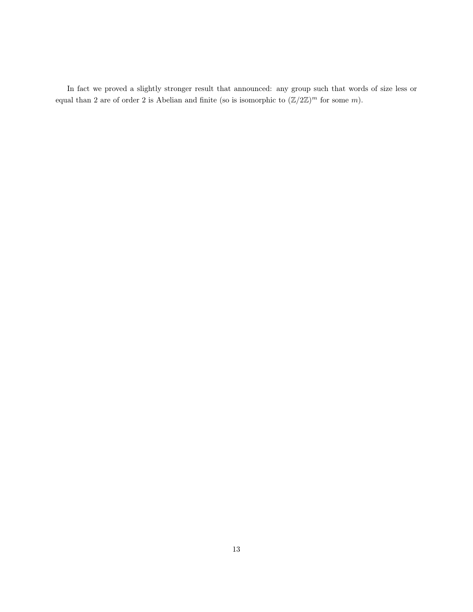In fact we proved a slightly stronger result that announced: any group such that words of size less or equal than 2 are of order 2 is Abelian and finite (so is isomorphic to  $(\mathbb{Z}/2\mathbb{Z})^m$  for some m).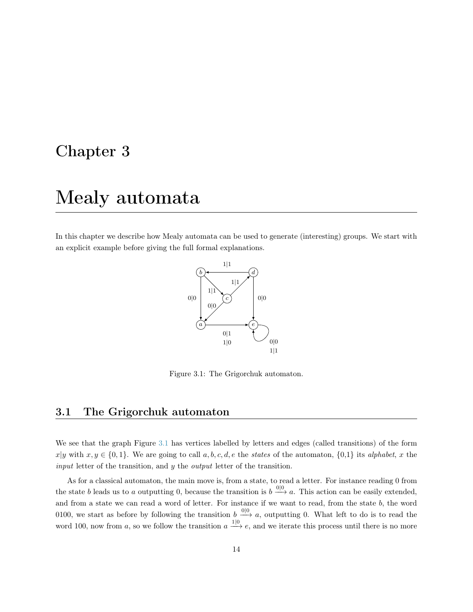### <span id="page-14-0"></span>Chapter 3

## Mealy automata

In this chapter we describe how Mealy automata can be used to generate (interesting) groups. We start with an explicit example before giving the full formal explanations.



<span id="page-14-2"></span>Figure 3.1: The Grigorchuk automaton.

### <span id="page-14-1"></span>3.1 The Grigorchuk automaton

We see that the graph Figure [3.1](#page-14-2) has vertices labelled by letters and edges (called transitions) of the form  $x|y$  with  $x, y \in \{0, 1\}$ . We are going to call  $a, b, c, d, e$  the states of the automaton,  $\{0, 1\}$  its alphabet, x the input letter of the transition, and y the output letter of the transition.

As for a classical automaton, the main move is, from a state, to read a letter. For instance reading 0 from the state b leads us to a outputting 0, because the transition is  $b \xrightarrow{0|0} a$ . This action can be easily extended, and from a state we can read a word of letter. For instance if we want to read, from the state b, the word 0100, we start as before by following the transition  $b \stackrel{0|0}{\longrightarrow} a$ , outputting 0. What left to do is to read the word 100, now from a, so we follow the transition  $a \stackrel{1|0}{\longrightarrow} e$ , and we iterate this process until there is no more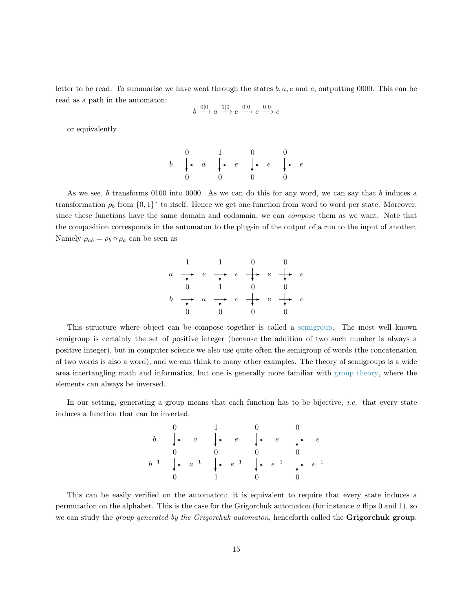letter to be read. To summarise we have went through the states  $b, a, e$  and  $e$ , outputting 0000. This can be read as a path in the automaton:

$$
b \xrightarrow{0|0} a \xrightarrow{1|0} e \xrightarrow{0|0} e \xrightarrow{0|0} e
$$

or equivalently

$$
\begin{array}{ccccccc}\n & & 0 & & 1 & & 0 & & 0 \\
b & \rightarrow & a & \rightarrow & e & \rightarrow & e & \rightarrow & e \\
0 & & 0 & & 0 & & 0 & & 0\n\end{array}
$$

As we see, b transforms 0100 into 0000. As we can do this for any word, we can say that b induces a transformation  $\rho_b$  from  $\{0,1\}^*$  to itself. Hence we get one function from word to word per state. Moreover, since these functions have the same domain and codomain, we can compose them as we want. Note that the composition corresponds in the automaton to the plug-in of the output of a run to the input of another. Namely  $\rho_{ab} = \rho_b \circ \rho_a$  can be seen as



This structure where object can be compose together is called a [semigroup.](https://en.wikipedia.org/wiki/Semigroup) The most well known semigroup is certainly the set of positive integer (because the addition of two such number is always a positive integer), but in computer science we also use quite often the semigroup of words (the concatenation of two words is also a word), and we can think to many other examples. The theory of semigroups is a wide area intertangling math and informatics, but one is generally more familiar with [group theory,](https://en.wikipedia.org/wiki/Group_(mathematics)) where the elements can always be inversed.

In our setting, generating a group means that each function has to be bijective, *i.e.* that every state induces a function that can be inverted.



This can be easily verified on the automaton: it is equivalent to require that every state induces a permutation on the alphabet. This is the case for the Grigorchuk automaton (for instance  $\alpha$  flips 0 and 1), so we can study the *group generated by the Grigorchuk automaton*, henceforth called the **Grigorchuk group**.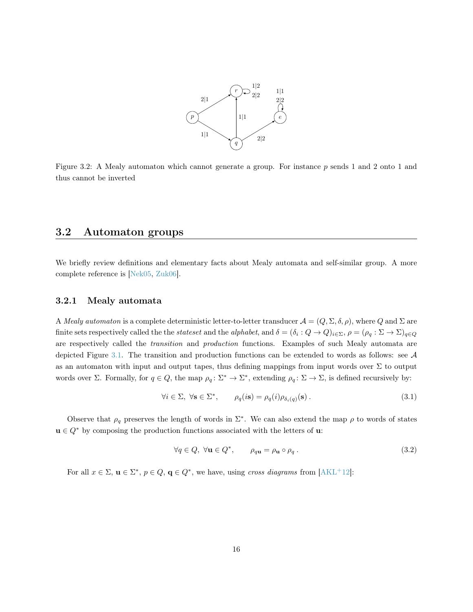

Figure 3.2: A Mealy automaton which cannot generate a group. For instance p sends 1 and 2 onto 1 and thus cannot be inverted

### <span id="page-16-0"></span>3.2 Automaton groups

We briefly review definitions and elementary facts about Mealy automata and self-similar group. A more complete reference is [\[Nek05,](#page-37-8) [Zuk06\]](#page-38-0).

#### <span id="page-16-1"></span>3.2.1 Mealy automata

A Mealy automaton is a complete deterministic letter-to-letter transducer  $\mathcal{A} = (Q, \Sigma, \delta, \rho)$ , where Q and  $\Sigma$  are finite sets respectively called the the *stateset* and the *alphabet*, and  $\delta = (\delta_i: Q \to Q)_{i \in \Sigma}, \rho = (\rho_q: \Sigma \to \Sigma)_{q \in Q}$ are respectively called the *transition* and *production* functions. Examples of such Mealy automata are depicted Figure [3.1.](#page-14-2) The transition and production functions can be extended to words as follows: see  $A$ as an automaton with input and output tapes, thus defining mappings from input words over  $\Sigma$  to output words over  $\Sigma$ . Formally, for  $q \in Q$ , the map  $\rho_q : \Sigma^* \to \Sigma^*$ , extending  $\rho_q : \Sigma \to \Sigma$ , is defined recursively by:

<span id="page-16-2"></span>
$$
\forall i \in \Sigma, \ \forall \mathbf{s} \in \Sigma^*, \qquad \rho_q(i\mathbf{s}) = \rho_q(i)\rho_{\delta_i(q)}(\mathbf{s}). \tag{3.1}
$$

Observe that  $\rho_q$  preserves the length of words in  $\Sigma^*$ . We can also extend the map  $\rho$  to words of states  $u \in Q^*$  by composing the production functions associated with the letters of **u**:

$$
\forall q \in Q, \ \forall \mathbf{u} \in Q^*, \qquad \rho_{q\mathbf{u}} = \rho_{\mathbf{u}} \circ \rho_q. \tag{3.2}
$$

For all  $x \in \Sigma$ ,  $\mathbf{u} \in \Sigma^*$ ,  $p \in Q$ ,  $\mathbf{q} \in Q^*$ , we have, using cross diagrams from [\[AKL](#page-36-6)<sup>+</sup>12]: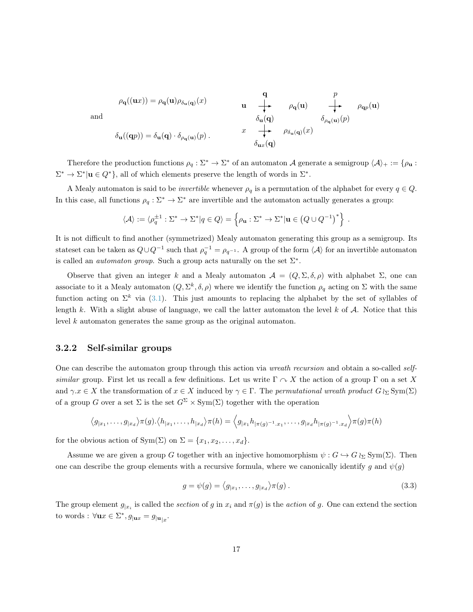$$
\rho_{\mathbf{q}}((\mathbf{u}x)) = \rho_{\mathbf{q}}(\mathbf{u})\rho_{\delta_{\mathbf{u}}(\mathbf{q})}(x) \qquad \mathbf{u} \qquad \begin{array}{c}\mathbf{q} \\ \hline \downarrow \\ \mathbf{v} \\ \delta_{\mathbf{u}}(\mathbf{q}) \end{array} \qquad \begin{array}{c}\text{ } \rho_{\mathbf{q}}(\mathbf{u}) \\ \hline \downarrow \\ \mathbf{v} \\ \delta_{\mathbf{u}}(\mathbf{q}) \end{array} \qquad \begin{array}{c}\text{ } \rho_{\mathbf{q}}(\mathbf{u}) \\ \hline \downarrow \\ \mathbf{v} \\ \delta_{\mathbf{u}x}(\mathbf{q}) \end{array} \qquad \begin{array}{c}\text{ } \rho_{\mathbf{q}}(\mathbf{u}) \\ \hline \downarrow \\ \delta_{\rho_{\mathbf{q}}(\mathbf{u})}(p) \end{array} \qquad \begin{array}{c}\text{ } \rho_{\mathbf{q}}(\mathbf{u}) \\ \hline \downarrow \\ \delta_{\mathbf{u}x}(\mathbf{q}) \end{array}
$$

Therefore the production functions  $\rho_q : \Sigma^* \to \Sigma^*$  of an automaton A generate a semigroup  $\langle A \rangle_+ := \{ \rho_u :$  $\Sigma^* \to \Sigma^* | \mathbf{u} \in Q^* \},$  all of which elements preserve the length of words in  $\Sigma^*$ .

A Mealy automaton is said to be *invertible* whenever  $\rho_q$  is a permutation of the alphabet for every  $q \in Q$ . In this case, all functions  $\rho_q : \Sigma^* \to \Sigma^*$  are invertible and the automaton actually generates a group:

$$
\langle \mathcal{A} \rangle := \langle \rho_q^{\pm 1} : \Sigma^* \to \Sigma^* | q \in Q \rangle = \left\{ \rho_{\mathbf{u}} : \Sigma^* \to \Sigma^* | \mathbf{u} \in (Q \cup Q^{-1})^* \right\}.
$$

It is not difficult to find another (symmetrized) Mealy automaton generating this group as a semigroup. Its stateset can be taken as  $Q\cup Q^{-1}$  such that  $\rho_q^{-1} = \rho_{q^{-1}}$ . A group of the form  $\langle A \rangle$  for an invertible automaton is called an *automaton group*. Such a group acts naturally on the set  $\Sigma^*$ .

Observe that given an integer k and a Mealy automaton  $A = (Q, \Sigma, \delta, \rho)$  with alphabet  $\Sigma$ , one can associate to it a Mealy automaton  $(Q, \Sigma^k, \delta, \rho)$  where we identify the function  $\rho_q$  acting on  $\Sigma$  with the same function acting on  $\Sigma^k$  via [\(3.1\)](#page-16-2). This just amounts to replacing the alphabet by the set of syllables of length k. With a slight abuse of language, we call the latter automaton the level  $k$  of  $A$ . Notice that this level k automaton generates the same group as the original automaton.

### <span id="page-17-0"></span>3.2.2 Self-similar groups

One can describe the automaton group through this action via *wreath recursion* and obtain a so-called selfsimilar group. First let us recall a few definitions. Let us write  $\Gamma \curvearrowright X$  the action of a group  $\Gamma$  on a set X and  $\gamma.x \in X$  the transformation of  $x \in X$  induced by  $\gamma \in \Gamma$ . The permutational wreath product  $G \wr_{\Sigma} \text{Sym}(\Sigma)$ of a group G over a set  $\Sigma$  is the set  $G^{\Sigma} \times Sym(\Sigma)$  together with the operation

$$
\langle g_{|x_1},\ldots,g_{|x_d}\rangle \pi(g)\cdot \langle h_{|x_1},\ldots,h_{|x_d}\rangle \pi(h)=\langle g_{|x_1}h_{|\pi(g)^{-1}.x_1},\ldots,g_{|x_d}h_{|\pi(g)^{-1}.x_d}\rangle \pi(g)\pi(h)
$$

for the obvious action of Sym( $\Sigma$ ) on  $\Sigma = \{x_1, x_2, \ldots, x_d\}.$ 

Assume we are given a group G together with an injective homomorphism  $\psi : G \hookrightarrow G \wr_{\Sigma} \text{Sym}(\Sigma)$ . Then one can describe the group elements with a recursive formula, where we canonically identify g and  $\psi(g)$ 

<span id="page-17-1"></span>
$$
g = \psi(g) = \langle g_{|x_1}, \dots, g_{|x_d} \rangle \pi(g) . \tag{3.3}
$$

The group element  $g_{|x_i}$  is called the *section* of g in  $x_i$  and  $\pi(g)$  is the *action* of g. One can extend the section to words :  $\forall \mathbf{u} x \in \Sigma^*$ ,  $g_{|\mathbf{u} x} = g_{|\mathbf{u}|x}$ .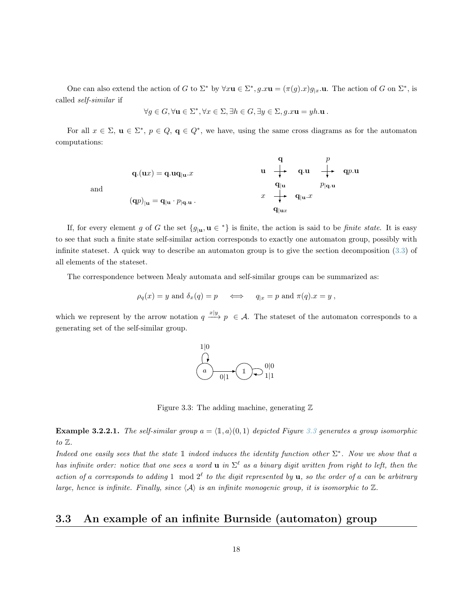One can also extend the action of G to  $\Sigma^*$  by  $\forall x \mathbf{u} \in \Sigma^*, g.x \mathbf{u} = (\pi(g).x)g_{|x}.\mathbf{u}$ . The action of G on  $\Sigma^*$ , is called self-similar if

$$
\forall g \in G, \forall \mathbf{u} \in \Sigma^*, \forall x \in \Sigma, \exists h \in G, \exists y \in \Sigma, g.x\mathbf{u} = yh.\mathbf{u} .
$$

For all  $x \in \Sigma$ ,  $u \in \Sigma^*$ ,  $p \in Q$ ,  $q \in Q^*$ , we have, using the same cross diagrams as for the automaton computations:

$$
\mathbf{q}.(\mathbf{u}x) = \mathbf{q}.\mathbf{u}\mathbf{q}_{|\mathbf{u}}.x
$$
\n
$$
\mathbf{u} \begin{array}{c} \mathbf{q} & p \\ \mathbf{q}.\mathbf{u} & \mathbf{q}.\mathbf{u} \\ \mathbf{q} \mathbf{u} & p \mathbf{q}.\mathbf{u} \end{array}
$$
\n
$$
\mathbf{q}.(\mathbf{u}x) = \mathbf{q}.\mathbf{u}\mathbf{q}_{|\mathbf{u}}.x
$$
\n
$$
\mathbf{q} \mathbf{u} \begin{array}{c} \mathbf{q} & p \\ \mathbf{q}.\mathbf{u} & p \mathbf{q}.\mathbf{u} \end{array}
$$
\n
$$
\mathbf{q} \mathbf{u} \begin{array}{c} \mathbf{q} & p \\ \mathbf{q} \mathbf{u} & p \mathbf{q}.\mathbf{u} \end{array}
$$

and

If, for every element g of G the set  $\{g_{|\mathbf{u}}, \mathbf{u} \in {}^{*}\}$  is finite, the action is said to be finite state. It is easy to see that such a finite state self-similar action corresponds to exactly one automaton group, possibly with infinite stateset. A quick way to describe an automaton group is to give the section decomposition [\(3.3\)](#page-17-1) of all elements of the stateset.

The correspondence between Mealy automata and self-similar groups can be summarized as:

$$
\rho_q(x) = y
$$
 and  $\delta_x(q) = p \iff q_{|x} = p$  and  $\pi(q).x = y$ ,

which we represent by the arrow notation  $q \xrightarrow{x|y} p \in A$ . The stateset of the automaton corresponds to a generating set of the self-similar group.



<span id="page-18-1"></span>Figure 3.3: The adding machine, generating  $\mathbb Z$ 

**Example 3.2.2.1.** The self-similar group  $a = (1, a)(0, 1)$  depicted Figure [3.3](#page-18-1) generates a group isomorphic to  $\mathbb{Z}$ .

Indeed one easily sees that the state  $\mathbb 1$  indeed induces the identity function other  $\Sigma^*$ . Now we show that a has infinite order: notice that one sees a word **u** in  $\Sigma^{\ell}$  as a binary digit written from right to left, then the action of a corresponds to adding 1 mod  $2^{\ell}$  to the digit represented by **u**, so the order of a can be arbitrary large, hence is infinite. Finally, since  $\langle A \rangle$  is an infinite monogenic group, it is isomorphic to  $\mathbb{Z}$ .

### <span id="page-18-0"></span>3.3 An example of an infinite Burnside (automaton) group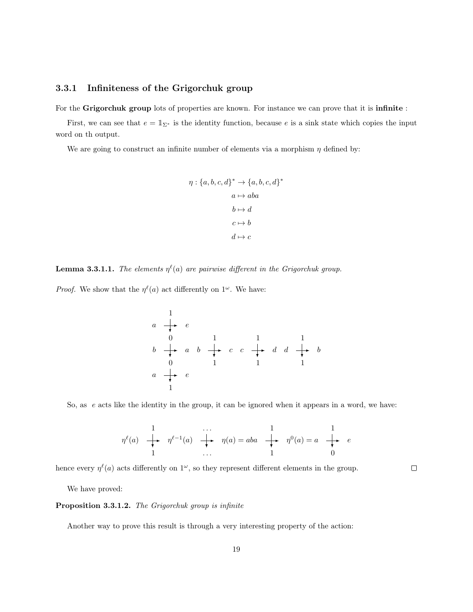### <span id="page-19-0"></span>3.3.1 Infiniteness of the Grigorchuk group

For the Grigorchuk group lots of properties are known. For instance we can prove that it is infinite :

First, we can see that  $e = \mathbb{1}_{\Sigma^*}$  is the identity function, because e is a sink state which copies the input word on th output.

We are going to construct an infinite number of elements via a morphism  $\eta$  defined by:

$$
\eta: \{a, b, c, d\}^* \to \{a, b, c, d\}^*
$$

$$
a \mapsto aba
$$

$$
b \mapsto d
$$

$$
c \mapsto b
$$

$$
d \mapsto c
$$

<span id="page-19-1"></span>**Lemma 3.3.1.1.** The elements  $\eta^{\ell}(a)$  are pairwise different in the Grigorchuk group.

*Proof.* We show that the  $\eta^{\ell}(a)$  act differently on  $1^{\omega}$ . We have:

1 a e 0 b a 0 a e 1 1 b c 1 1 c d 1 1 d b 1

So, as  $e$  acts like the identity in the group, it can be ignored when it appears in a word, we have:

$$
\eta^{\ell}(a) \quad \begin{array}{ccccccccc}\n1 & & & & & & 1 & & & 1 \\
\downarrow & & \eta^{\ell-1}(a) & \downarrow & \eta(a) = aba & \downarrow & \eta^0(a) = a & \downarrow & e \\
1 & & & & & & 1 & & 0\n\end{array}
$$

hence every  $\eta^{\ell}(a)$  acts differently on  $1^{\omega}$ , so they represent different elements in the group.

 $\Box$ 

We have proved:

### <span id="page-19-2"></span>Proposition 3.3.1.2. The Grigorchuk group is infinite

<span id="page-19-3"></span>Another way to prove this result is through a very interesting property of the action: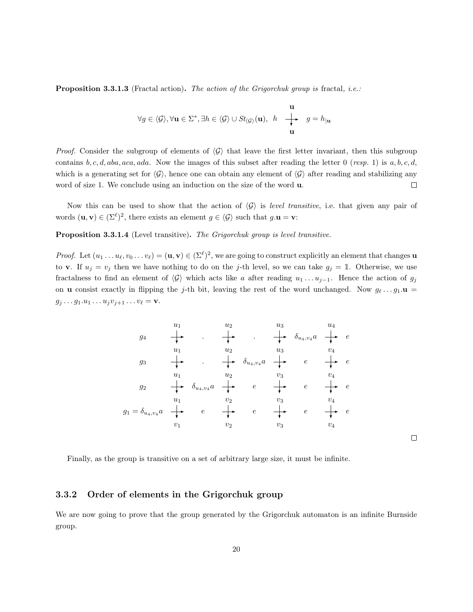**Proposition 3.3.1.3** (Fractal action). The action of the Grigorchuk group is fractal, *i.e.*:

$$
\forall g \in \langle \mathcal{G} \rangle, \forall \mathbf{u} \in \Sigma^*, \exists h \in \langle \mathcal{G} \rangle \cup St_{\langle \mathcal{G} \rangle}(\mathbf{u}), \ h \begin{array}{ccc} \mathbf{u} \\ \downarrow \ast & g = h_{|\mathbf{u}} \\ \mathbf{u} \end{array}
$$

*Proof.* Consider the subgroup of elements of  $\langle \mathcal{G} \rangle$  that leave the first letter invariant, then this subgroup contains  $b, c, d, aba, aca, ada$ . Now the images of this subset after reading the letter 0 (resp. 1) is  $a, b, c, d$ , which is a generating set for  $\langle \mathcal{G} \rangle$ , hence one can obtain any element of  $\langle \mathcal{G} \rangle$  after reading and stabilizing any word of size 1. We conclude using an induction on the size of the word  $\bf{u}$ .  $\Box$ 

Now this can be used to show that the action of  $\langle G \rangle$  is level transitive, i.e. that given any pair of words  $(\mathbf{u}, \mathbf{v}) \in (\Sigma^{\ell})^2$ , there exists an element  $g \in \langle \mathcal{G} \rangle$  such that  $g.\mathbf{u} = \mathbf{v}$ :

Proposition 3.3.1.4 (Level transitive). The Grigorchuk group is level transitive.

*Proof.* Let  $(u_1 \ldots u_\ell, v_0 \ldots v_\ell) = (\mathbf{u}, \mathbf{v}) \in (\Sigma^{\ell})^2$ , we are going to construct explicitly an element that changes **u** to v. If  $u_j = v_j$  then we have nothing to do on the j-th level, so we can take  $g_j = 1$ . Otherwise, we use fractalness to find an element of  $\langle \mathcal{G} \rangle$  which acts like a after reading  $u_1 \dots u_{j-1}$ . Hence the action of  $g_j$ on **u** consist exactly in flipping the j-th bit, leaving the rest of the word unchanged. Now  $g_\ell \dots g_1 \mathbf{u} =$  $g_j \ldots g_1.u_1 \ldots u_j v_{j+1} \ldots v_\ell = \mathbf{v}.$ 



 $\hfill \square$ 

Finally, as the group is transitive on a set of arbitrary large size, it must be infinite.

### <span id="page-20-0"></span>3.3.2 Order of elements in the Grigorchuk group

We are now going to prove that the group generated by the Grigorchuk automaton is an infinite Burnside group.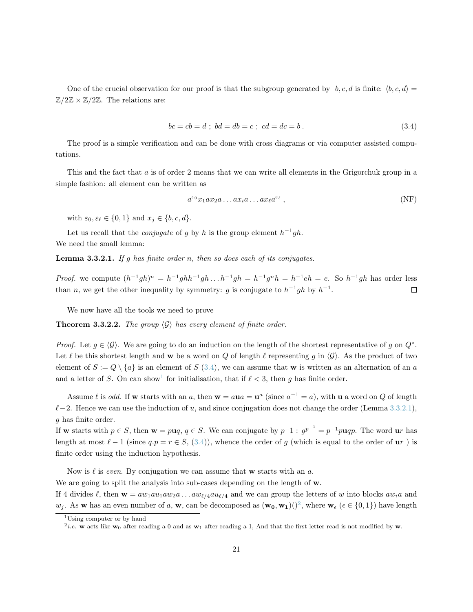One of the crucial observation for our proof is that the subgroup generated by  $b, c, d$  is finite:  $\langle b, c, d \rangle =$  $\mathbb{Z}/2\mathbb{Z} \times \mathbb{Z}/2\mathbb{Z}$ . The relations are:

<span id="page-21-0"></span>
$$
bc = cb = d \; ; \; bd = db = c \; ; \; cd = dc = b \; . \tag{3.4}
$$

The proof is a simple verification and can be done with cross diagrams or via computer assisted computations.

This and the fact that a is of order 2 means that we can write all elements in the Grigorchuk group in a simple fashion: all element can be written as

<span id="page-21-3"></span>
$$
a^{\varepsilon_0}x_1ax_2a\dots ax_ia\dots ax_\ell a^{\varepsilon_\ell},\tag{NF}
$$

with  $\varepsilon_0, \varepsilon_\ell \in \{0, 1\}$  and  $x_j \in \{b, c, d\}.$ 

Let us recall that the *conjugate* of g by h is the group element  $h^{-1}gh$ . We need the small lemma:

**Lemma 3.3.2.1.** If g has finite order n, then so does each of its conjugates.

*Proof.* we compute  $(h^{-1}gh)^n = h^{-1}ghh^{-1}gh \dots h^{-1}gh = h^{-1}ghh^{-1}gh = h^{-1}eh = e$ . So  $h^{-1}gh$  has order less than n, we get the other inequality by symmetry: g is conjugate to  $h^{-1}gh$  by  $h^{-1}$ .  $\Box$ 

We now have all the tools we need to prove

**Theorem 3.3.2.2.** The group  $\langle G \rangle$  has every element of finite order.

*Proof.* Let  $g \in \langle \mathcal{G} \rangle$ . We are going to do an induction on the length of the shortest representative of g on  $Q^*$ . Let  $\ell$  be this shortest length and w be a word on Q of length  $\ell$  representing g in  $\langle \mathcal{G} \rangle$ . As the product of two element of  $S := Q \setminus \{a\}$  is an element of  $S$  [\(3.4\)](#page-21-0), we can assume that w is written as an alternation of an a and a letter of S. On can show<sup>[1](#page-21-1)</sup> for initialisation, that if  $\ell < 3$ , then g has finite order.

Assume l is odd. If **w** starts with an a, then  $w = au = u^a$  (since  $a^{-1} = a$ ), with **u** a word on Q of length  $\ell-2$ . Hence we can use the induction of u, and since conjugation does not change the order (Lemma [3.3.2.1\)](#page-19-1), g has finite order.

If w starts with  $p \in S$ , then  $w = puq$ ,  $q \in S$ . We can conjugate by  $p^{-1}$ :  $g^{p^{-1}} = p^{-1}puqp$ . The word ur has length at most  $\ell - 1$  (since  $q.p = r \in S$ , [\(3.4\)](#page-21-0)), whence the order of g (which is equal to the order of ur) is finite order using the induction hypothesis.

Now is  $\ell$  is even. By conjugation we can assume that w starts with an a.

We are going to split the analysis into sub-cases depending on the length of w.

If 4 divides  $\ell$ , then  $\mathbf{w} = aw_1au_1aw_2a \ldots aw_{\ell/4}au_{\ell/4}$  and we can group the letters of w into blocks aw<sub>i</sub>a and  $w_j$ . As w has an even number of a, w, can be decomposed as  $(\mathbf{w_0}, \mathbf{w_1})$  $($ )<sup>[2](#page-21-2)</sup>, where  $\mathbf{w}_{\epsilon}$  ( $\epsilon \in \{0, 1\}$ ) have length

<span id="page-21-1"></span><sup>1</sup>Using computer or by hand

<span id="page-21-2"></span><sup>&</sup>lt;sup>2</sup>*i.e.* w acts like w<sub>0</sub> after reading a 0 and as w<sub>1</sub> after reading a 1, And that the first letter read is not modified by w.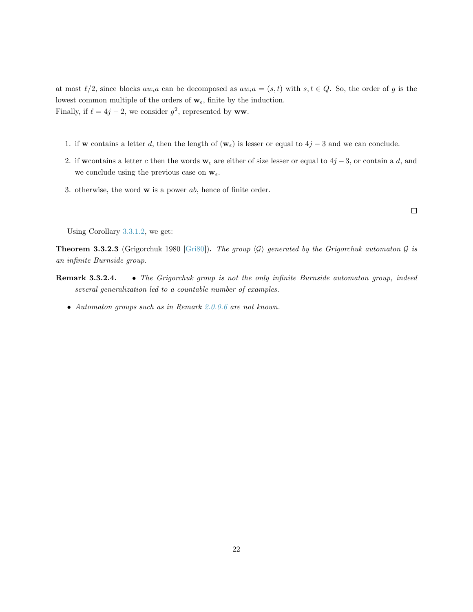at most  $\ell/2$ , since blocks  $aw_ia$  can be decomposed as  $aw_ia = (s, t)$  with  $s, t \in Q$ . So, the order of g is the lowest common multiple of the orders of  $w_{\epsilon}$ , finite by the induction. Finally, if  $\ell = 4j - 2$ , we consider  $g^2$ , represented by ww.

- 1. if w contains a letter d, then the length of  $(\mathbf{w}_{\epsilon})$  is lesser or equal to  $4j-3$  and we can conclude.
- 2. if we ontains a letter c then the words  $w_{\epsilon}$  are either of size lesser or equal to  $4j-3$ , or contain a d, and we conclude using the previous case on  $w_{\epsilon}$ .
- 3. otherwise, the word  $\bf{w}$  is a power ab, hence of finite order.

 $\Box$ 

Using Corollary [3.3.1.2,](#page-19-2) we get:

**Theorem 3.3.2.3** (Grigorchuk 1980 [\[Gri80\]](#page-37-9)). The group  $\langle G \rangle$  generated by the Grigorchuk automaton G is an infinite Burnside group.

- Remark 3.3.2.4. The Grigorchuk group is not the only infinite Burnside automaton group, indeed several generalization led to a countable number of examples.
	- Automaton groups such as in Remark [2.0.0.6](#page-12-0) are not known.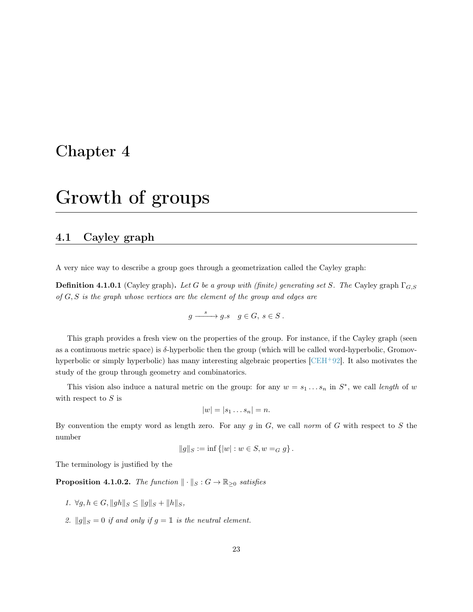### <span id="page-23-0"></span>Chapter 4

## Growth of groups

### <span id="page-23-1"></span>4.1 Cayley graph

A very nice way to describe a group goes through a geometrization called the Cayley graph:

**Definition 4.1.0.1** (Cayley graph). Let G be a group with (finite) generating set S. The Cayley graph  $\Gamma_{G, S}$ of  $G, S$  is the graph whose vertices are the element of the group and edges are

$$
g \xrightarrow{s} g.s \quad g \in G, \ s \in S \ .
$$

This graph provides a fresh view on the properties of the group. For instance, if the Cayley graph (seen as a continuous metric space) is  $\delta$ -hyperbolic then the group (which will be called word-hyperbolic, Gromovhyperbolic or simply hyperbolic) has many interesting algebraic properties [\[CEH](#page-36-7)<sup>+</sup>92]. It also motivates the study of the group through geometry and combinatorics.

This vision also induce a natural metric on the group: for any  $w = s_1 \dots s_n$  in  $S^*$ , we call length of w with respect to  $S$  is

$$
|w|=|s_1\ldots s_n|=n.
$$

By convention the empty word as length zero. For any g in  $G$ , we call norm of G with respect to S the number

$$
||g||_S := \inf \{ |w| : w \in S, w =_G g \}.
$$

The terminology is justified by the

**Proposition 4.1.0.2.** The function  $\|\cdot\|_S : G \to \mathbb{R}_{\geq 0}$  satisfies

- 1.  $\forall g, h \in G, ||gh||_S \leq ||g||_S + ||h||_S,$
- 2.  $||g||_S = 0$  if and only if  $g = 1$  is the neutral element.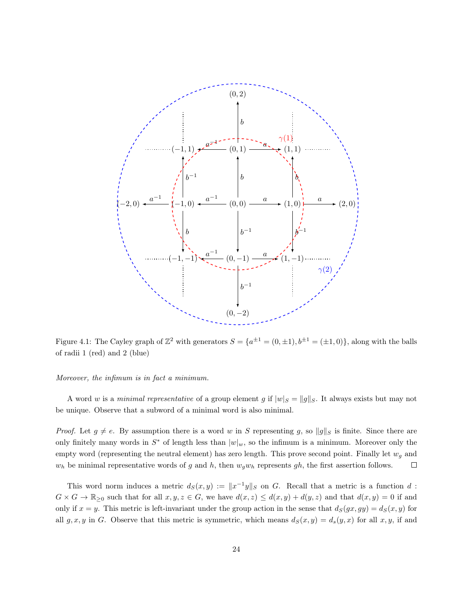

Figure 4.1: The Cayley graph of  $\mathbb{Z}^2$  with generators  $S = \{a^{\pm 1} = (0, \pm 1), b^{\pm 1} = (\pm 1, 0)\}$ , along with the balls of radii 1 (red) and 2 (blue)

#### Moreover, the infimum is in fact a minimum.

A word w is a minimal representative of a group element g if  $|w|_S = ||g||_S$ . It always exists but may not be unique. Observe that a subword of a minimal word is also minimal.

*Proof.* Let  $g \neq e$ . By assumption there is a word w in S representing g, so  $||g||_S$  is finite. Since there are only finitely many words in  $S^*$  of length less than  $|w|_w$ , so the infimum is a minimum. Moreover only the empty word (representing the neutral element) has zero length. This prove second point. Finally let  $w_g$  and  $w_h$  be minimal representative words of g and h, then  $w_gw_h$  represents gh, the first assertion follows.  $\Box$ 

This word norm induces a metric  $d_S(x,y) := \|x^{-1}y\|_S$  on G. Recall that a metric is a function d:  $G \times G \to \mathbb{R}_{\geq 0}$  such that for all  $x, y, z \in G$ , we have  $d(x, z) \leq d(x, y) + d(y, z)$  and that  $d(x, y) = 0$  if and only if  $x = y$ . This metric is left-invariant under the group action in the sense that  $d_S(gx, gy) = d_S(x, y)$  for all g, x, y in G. Observe that this metric is symmetric, which means  $d_S(x, y) = d_s(y, x)$  for all x, y, if and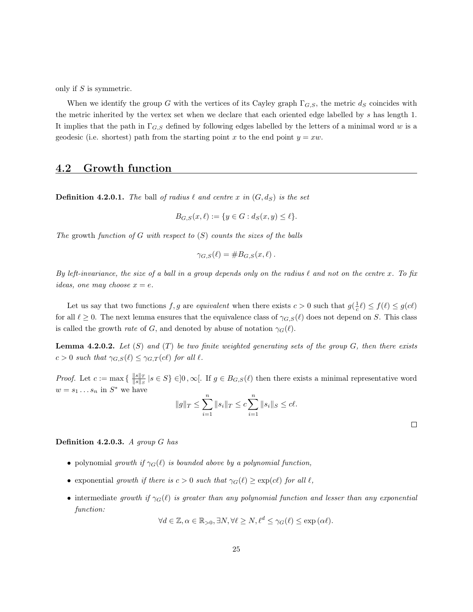only if S is symmetric.

When we identify the group G with the vertices of its Cayley graph  $\Gamma_{G,S}$ , the metric  $d_S$  coincides with the metric inherited by the vertex set when we declare that each oriented edge labelled by s has length 1. It implies that the path in  $\Gamma_{G,S}$  defined by following edges labelled by the letters of a minimal word w is a geodesic (i.e. shortest) path from the starting point x to the end point  $y = xw$ .

### <span id="page-25-0"></span>4.2 Growth function

**Definition 4.2.0.1.** The ball of radius  $\ell$  and centre x in  $(G, d_S)$  is the set

$$
B_{G,S}(x,\ell) := \{ y \in G : d_S(x,y) \le \ell \}.
$$

The growth function of G with respect to  $(S)$  counts the sizes of the balls

$$
\gamma_{G,S}(\ell) = \#B_{G,S}(x,\ell) .
$$

By left-invariance, the size of a ball in a group depends only on the radius  $\ell$  and not on the centre x. To fix ideas, one may choose  $x = e$ .

Let us say that two functions  $f, g$  are equivalent when there exists  $c > 0$  such that  $g(\frac{1}{c}\ell) \leq f(\ell) \leq g(c\ell)$ for all  $\ell \geq 0$ . The next lemma ensures that the equivalence class of  $\gamma_{G,S}(\ell)$  does not depend on S. This class is called the growth *rate* of G, and denoted by abuse of notation  $\gamma_G(\ell)$ .

**Lemma 4.2.0.2.** Let  $(S)$  and  $(T)$  be two finite weighted generating sets of the group  $G$ , then there exists  $c > 0$  such that  $\gamma_{G,S}(\ell) \leq \gamma_{G,T}(c\ell)$  for all  $\ell$ .

*Proof.* Let  $c := \max\left\{ \frac{\|s\|_T}{\|s\|_S} \right\}$  $\frac{\|s\|_T}{\|s\|_S}$   $|s \in S\} \in ]0, \infty[$ . If  $g \in B_{G,S}(\ell)$  then there exists a minimal representative word  $w = s_1 \dots s_n$  in  $S^*$  we have

$$
||g||_T \le \sum_{i=1}^n ||s_i||_T \le c \sum_{i=1}^n ||s_i||_S \le c\ell.
$$

 $\Box$ 

#### **Definition 4.2.0.3.** A group  $G$  has

- polynomial growth if  $\gamma_G(\ell)$  is bounded above by a polynomial function,
- exponential growth if there is  $c > 0$  such that  $\gamma_G(\ell) \geq \exp(c\ell)$  for all  $\ell$ ,
- intermediate growth if  $\gamma_G(\ell)$  is greater than any polynomial function and lesser than any exponential function:

$$
\forall d \in \mathbb{Z}, \alpha \in \mathbb{R}_{>0}, \exists N, \forall \ell \ge N, \ell^d \le \gamma_G(\ell) \le \exp(\alpha \ell).
$$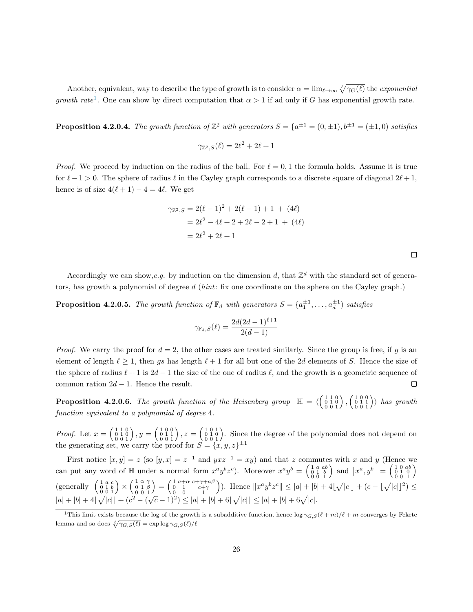Another, equivalent, way to describe the type of growth is to consider  $\alpha = \lim_{\ell \to \infty} \sqrt[\ell]{\gamma_G(\ell)}$  the exponential growth rate<sup>[1](#page-26-0)</sup>. One can show by direct computation that  $\alpha > 1$  if ad only if G has exponential growth rate.

**Proposition 4.2.0.4.** The growth function of  $\mathbb{Z}^2$  with generators  $S = \{a^{\pm 1} = (0, \pm 1), b^{\pm 1} = (\pm 1, 0)$  satisfies

 $\gamma_{\mathbb{Z}^2,S}(\ell) = 2\ell^2 + 2\ell + 1$ 

*Proof.* We proceed by induction on the radius of the ball. For  $\ell = 0, 1$  the formula holds. Assume it is true for  $\ell - 1 > 0$ . The sphere of radius  $\ell$  in the Cayley graph corresponds to a discrete square of diagonal  $2\ell + 1$ , hence is of size  $4(\ell + 1) - 4 = 4\ell$ . We get

$$
\gamma_{\mathbb{Z}^2,S} = 2(\ell - 1)^2 + 2(\ell - 1) + 1 + (4\ell)
$$
  
= 2\ell^2 - 4\ell + 2 + 2\ell - 2 + 1 + (4\ell)  
= 2\ell^2 + 2\ell + 1

Accordingly we can show, e.g. by induction on the dimension d, that  $\mathbb{Z}^d$  with the standard set of generators, has growth a polynomial of degree  $d$  (*hint*: fix one coordinate on the sphere on the Cayley graph.)

**Proposition 4.2.0.5.** The growth function of  $\mathbb{F}_d$  with generators  $S = \{a_1^{\pm 1}, \ldots, a_d^{\pm 1}\}$  satisfies

$$
\gamma_{\mathbb{F}_d,S}(\ell) = \frac{2d(2d-1)^{\ell+1}}{2(d-1)}
$$

*Proof.* We carry the proof for  $d = 2$ , the other cases are treated similarly. Since the group is free, if g is an element of length  $\ell \geq 1$ , then gs has length  $\ell + 1$  for all but one of the 2d elements of S. Hence the size of the sphere of radius  $\ell + 1$  is  $2d - 1$  the size of the one of radius  $\ell$ , and the growth is a geometric sequence of common ration  $2d - 1$ . Hence the result.  $\Box$ 

**Proposition 4.2.0.6.** The growth function of the Heisenberg group  $\mathbb{H} = \langle \begin{pmatrix} 1 & 1 & 0 \\ 0 & 1 & 0 \\ 0 & 0 & 1 \end{pmatrix}, \begin{pmatrix} 1 & 0 & 0 \\ 0 & 1 & 1 \\ 0 & 0 & 1 \end{pmatrix} \rangle$  has growth function equivalent to a polynomial of degree 4.

*Proof.* Let  $x = \begin{pmatrix} 1 & 1 & 0 \\ 0 & 1 & 0 \\ 0 & 0 & 1 \end{pmatrix}$ ,  $y = \begin{pmatrix} 1 & 0 & 0 \\ 0 & 1 & 1 \\ 0 & 0 & 1 \end{pmatrix}$ ,  $z = \begin{pmatrix} 1 & 0 & 1 \\ 0 & 1 & 0 \\ 0 & 0 & 1 \end{pmatrix}$ . Since the degree of the polynomial does not depend on the generating set, we carry the proof for  $S = \{x, y, z\}^{\pm 1}$ 

First notice  $[x, y] = z$  (so  $[y, x] = z^{-1}$  and  $yxz^{-1} = xy$ ) and that z commutes with x and y (Hence we can put any word of  $\mathbb{H}$  under a normal form  $x^a y^b z^c$ ). Moreover  $x^a y^b = \begin{pmatrix} 1 & a & ab \\ 0 & 1 & b \\ 0 & 0 & 1 \end{pmatrix}$  and  $\begin{bmatrix} x^a, y^b \end{bmatrix} = \begin{pmatrix} 1 & 0 & ab \\ 0 & 1 & 0 \\ 0 & 0 & 1 \end{pmatrix}$ (generally  $\begin{pmatrix} 1 & a & c \\ 0 & 1 & b \\ 0 & 0 & 1 \end{pmatrix} \times \begin{pmatrix} 1 & \alpha & \gamma \\ 0 & 1 & \beta \\ 0 & 0 & 1 \end{pmatrix}$  $= \begin{pmatrix} 1 & a+\alpha & c+\gamma+a\beta \\ 0 & 1 & c+\gamma \\ 0 & 0 & 1 \end{pmatrix}$ ). Hence  $||x^a y^b z^c|| \leq |a| + |b| + 4|\sqrt{|c|}| + (c - |\sqrt{|c|}|^2)$  $|a| + |b| + 4\sqrt{|c|} + (c^2 - (\sqrt{c} - 1)^2) \le |a| + |b| + 6\sqrt{|c|} + (c^2 - (\sqrt{c} - 1)^2)$ 

<span id="page-26-0"></span><sup>&</sup>lt;sup>1</sup>This limit exists because the log of the growth is a subadditive function, hence  $\log \gamma_{G,S}(\ell + m)/\ell + m$  converges by Fekete lemma and so does  $\sqrt[\ell]{\gamma_{G,S}(\ell)} = \exp \log \gamma_{G,S}(\ell)/\ell$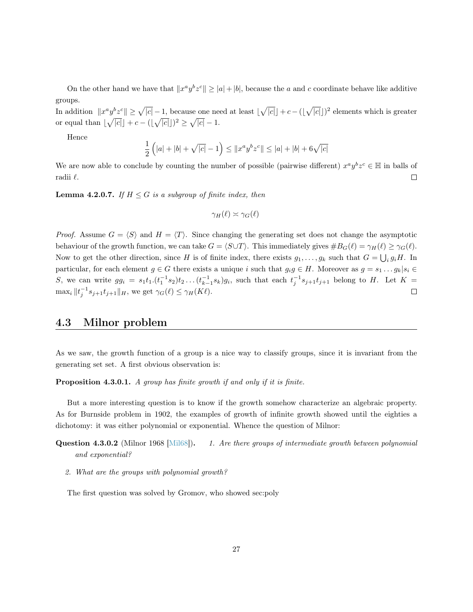On the other hand we have that  $||x^a y^b z^c|| \ge |a| + |b|$ , because the a and c coordinate behave like additive groups.

In addition  $||x^a y^b z^c|| \ge \sqrt{|c|} - 1$ , because one need at least  $|\sqrt{|c|}| + c - (|\sqrt{|c|}|)^2$  elements which is greater or equal than  $\lfloor \sqrt{|c|} \rfloor + c - (\lfloor \sqrt{|c|} \rfloor)^2 \ge \sqrt{|c|} - 1.$ 

Hence

$$
\frac{1}{2} (|a|+|b|+\sqrt{|c|}-1) \leq \|x^a y^b z^c\| \leq |a|+|b|+6\sqrt{|c|}
$$

We are now able to conclude by counting the number of possible (pairwise different)  $x^a y^b z^c \in \mathbb{H}$  in balls of radii  $\ell$ .  $\Box$ 

<span id="page-27-1"></span>**Lemma 4.2.0.7.** If  $H \leq G$  is a subgroup of finite index, then

$$
\gamma_H(\ell) \asymp \gamma_G(\ell)
$$

*Proof.* Assume  $G = \langle S \rangle$  and  $H = \langle T \rangle$ . Since changing the generating set does not change the asymptotic behaviour of the growth function, we can take  $G = \langle S \cup T \rangle$ . This immediately gives  $\#B_G(\ell) = \gamma_H(\ell) \geq \gamma_G(\ell)$ . Now to get the other direction, since H is of finite index, there exists  $g_1, \ldots, g_k$  such that  $G = \bigcup_i g_i H$ . In particular, for each element  $g \in G$  there exists a unique i such that  $g_i g \in H$ . Moreover as  $g = s_1 \dots g_k | s_i \in$ S, we can write  $gg_i = s_1t_1 \cdot (t_1^{-1}s_2)t_2 \ldots (t_{k-1}^{-1}s_k)g_i$ , such that each  $t_j^{-1}s_{j+1}t_{j+1}$  belong to H. Let  $K =$  $\max_i \|t_j^{-1}s_{j+1}t_{j+1}\|_H$ , we get  $\gamma_G(\ell) \leq \gamma_H(K\ell)$ .  $\Box$ 

### <span id="page-27-0"></span>4.3 Milnor problem

As we saw, the growth function of a group is a nice way to classify groups, since it is invariant from the generating set set. A first obvious observation is:

Proposition 4.3.0.1. A group has finite growth if and only if it is finite.

But a more interesting question is to know if the growth somehow characterize an algebraic property. As for Burnside problem in 1902, the examples of growth of infinite growth showed until the eighties a dichotomy: it was either polynomial or exponential. Whence the question of Milnor:

- **Question 4.3.0.2** (Milnor 1968 [\[Mil68\]](#page-37-10)). 1. Are there groups of intermediate growth between polynomial and exponential?
	- 2. What are the groups with polynomial growth?

The first question was solved by Gromov, who showed sec:poly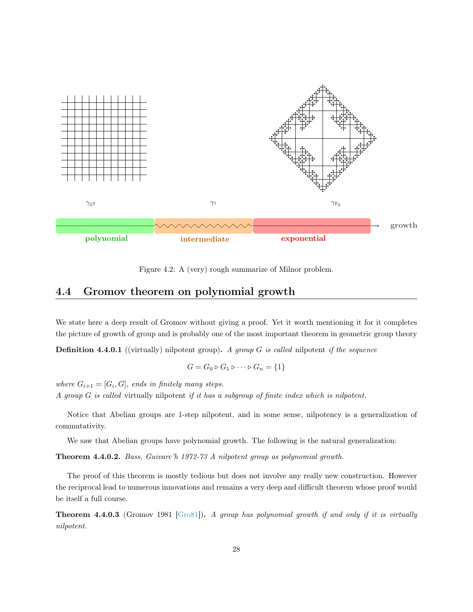

Figure 4.2: A (very) rough summarize of Milnor problem.

### <span id="page-28-0"></span>4.4 Gromov theorem on polynomial growth

We state here a deep result of Gromov without giving a proof. Yet it worth mentioning it for it completes the picture of growth of group and is probably one of the most important theorem in geometric group theory

**Definition 4.4.0.1** ((virtually) nilpotent group). A group  $G$  is called nilpotent if the sequence

$$
G = G_0 \triangleright G_1 \triangleright \cdots \triangleright G_n = \{1\}
$$

where  $G_{i+1} = [G_i, G]$ , ends in finitely many steps. A group G is called virtually nilpotent if it has a subgroup of finite index which is nilpotent.

Notice that Abelian groups are 1-step nilpotent, and in some sense, nilpotency is a generalization of commutativity.

We saw that Abelian groups have polynomial growth. The following is the natural generalization:

Theorem 4.4.0.2. Bass, Guivarc'h 1972-73 A nilpotent group as polynomial growth.

The proof of this theorem is mostly tedious but does not involve any really new construction. However the reciprocal lead to numerous innovations and remains a very deep and difficult theorem whose proof would be itself a full course.

Theorem 4.4.0.3 (Gromov 1981 [\[Gro81\]](#page-37-11)). A group has polynomial growth if and only if it is virtually nilpotent.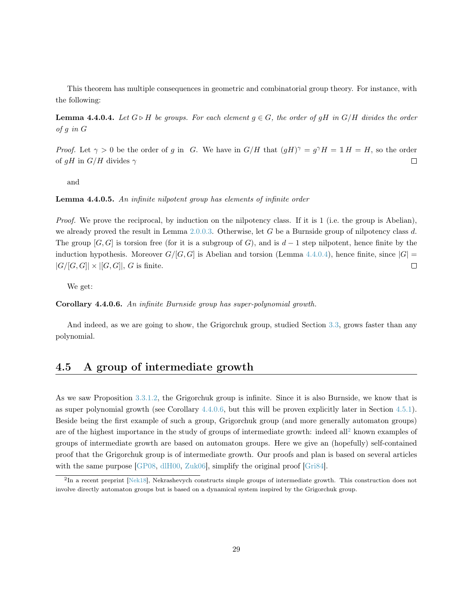This theorem has multiple consequences in geometric and combinatorial group theory. For instance, with the following:

<span id="page-29-1"></span>**Lemma 4.4.0.4.** Let  $G \triangleright H$  be groups. For each element  $g \in G$ , the order of  $gH$  in  $G/H$  divides the order of g in G

*Proof.* Let  $\gamma > 0$  be the order of g in G. We have in  $G/H$  that  $(gH)^{\gamma} = g^{\gamma}H = \mathbb{1}H = H$ , so the order of  $qH$  in  $G/H$  divides  $\gamma$  $\Box$ 

and

Lemma 4.4.0.5. An infinite nilpotent group has elements of infinite order

Proof. We prove the reciprocal, by induction on the nilpotency class. If it is 1 (i.e. the group is Abelian), we already proved the result in Lemma  $2.0.0.3$ . Otherwise, let G be a Burnside group of nilpotency class d. The group  $[G, G]$  is torsion free (for it is a subgroup of G), and is  $d-1$  step nilpotent, hence finite by the induction hypothesis. Moreover  $G/[G, G]$  is Abelian and torsion (Lemma [4.4.0.4\)](#page-29-1), hence finite, since  $|G|$  =  $|G/[G, G]| \times |[G, G]|$ , G is finite.  $\Box$ 

We get:

<span id="page-29-2"></span>Corollary 4.4.0.6. An infinite Burnside group has super-polynomial growth.

And indeed, as we are going to show, the Grigorchuk group, studied Section [3.3,](#page-18-0) grows faster than any polynomial.

### <span id="page-29-0"></span>4.5 A group of intermediate growth

As we saw Proposition [3.3.1.2,](#page-19-2) the Grigorchuk group is infinite. Since it is also Burnside, we know that is as super polynomial growth (see Corollary [4.4.0.6,](#page-29-2) but this will be proven explicitly later in Section [4.5.1\)](#page-30-0). Beside being the first example of such a group, Grigorchuk group (and more generally automaton groups) are of the highest importance in the study of groups of intermediate growth: indeed all<sup>[2](#page-29-3)</sup> known examples of groups of intermediate growth are based on automaton groups. Here we give an (hopefully) self-contained proof that the Grigorchuk group is of intermediate growth. Our proofs and plan is based on several articles with the same purpose [\[GP08,](#page-37-12) [dlH00,](#page-36-0) [Zuk06\]](#page-38-0), simplify the original proof [\[Gri84\]](#page-37-13).

<span id="page-29-3"></span><sup>&</sup>lt;sup>2</sup>In a recent preprint [\[Nek18\]](#page-38-1), Nekrashevych constructs simple groups of intermediate growth. This construction does not involve directly automaton groups but is based on a dynamical system inspired by the Grigorchuk group.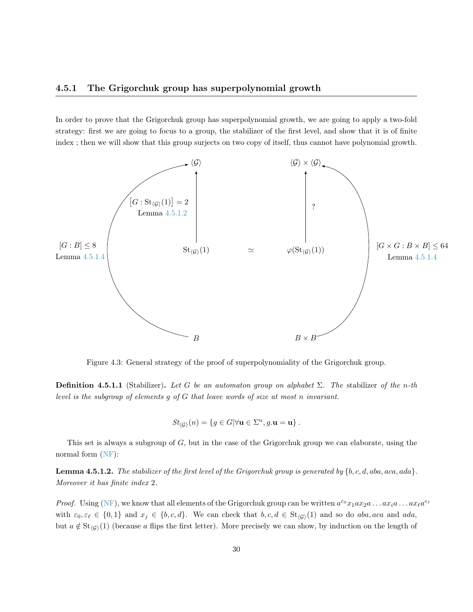#### <span id="page-30-0"></span>4.5.1 The Grigorchuk group has superpolynomial growth

In order to prove that the Grigorchuk group has superpolynomial growth, we are going to apply a two-fold strategy: first we are going to focus to a group, the stabilizer of the first level, and show that it is of finite index ; then we will show that this group surjects on two copy of itself, thus cannot have polynomial growth.



Figure 4.3: General strategy of the proof of superpolynomiality of the Grigorchuk group.

<span id="page-30-2"></span>**Definition 4.5.1.1** (Stabilizer). Let G be an automaton group on alphabet  $\Sigma$ . The stabilizer of the n-th level is the subgroup of elements g of G that leave words of size at most n invariant.

$$
St_{\langle G \rangle}(n) = \{ g \in G | \forall \mathbf{u} \in \Sigma^n, g.\mathbf{u} = \mathbf{u} \} .
$$

This set is always a subgroup of  $G$ , but in the case of the Grigorchuk group we can elaborate, using the normal form [\(NF\)](#page-21-3):

<span id="page-30-1"></span>**Lemma 4.5.1.2.** The stabilizer of the first level of the Grigorchuk group is generated by  $\{b, c, d, aba, aca, ada\}$ . Moreover it has finite index 2.

*Proof.* Using [\(NF\)](#page-21-3), we know that all elements of the Grigorchuk group can be written  $a^{\varepsilon_0}x_1ax_2a...ax_ia...ax_\ell a^{\varepsilon_\ell}$ with  $\varepsilon_0, \varepsilon_\ell \in \{0, 1\}$  and  $x_j \in \{b, c, d\}$ . We can check that  $b, c, d \in \text{St}_{\langle G \rangle}(1)$  and so do aba, aca and ada, but  $a \notin St_{\langle G \rangle}(1)$  (because a flips the first letter). More precisely we can show, by induction on the length of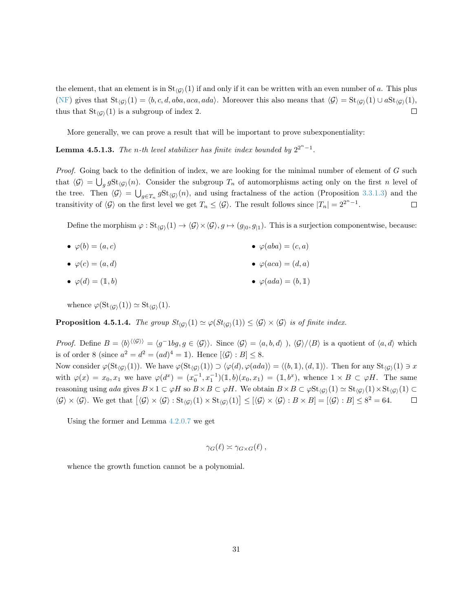the element, that an element is in  $St_{\langle G \rangle}(1)$  if and only if it can be written with an even number of a. This plus [\(NF\)](#page-21-3) gives that  $St_{\langle G \rangle}(1) = \langle b, c, d, aba, aca, ada \rangle$ . Moreover this also means that  $\langle G \rangle = St_{\langle G \rangle}(1) \cup aSt_{\langle G \rangle}(1)$ ,  $\Box$ thus that  $St_{\langle G \rangle}(1)$  is a subgroup of index 2.

More generally, we can prove a result that will be important to prove subexponentiality:

**Lemma 4.5.1.3.** The n-th level stabilizer has finite index bounded by  $2^{2^n-1}$ .

Proof. Going back to the definition of index, we are looking for the minimal number of element of G such that  $\langle G \rangle = \bigcup_g gSt_{\langle G \rangle}(n)$ . Consider the subgroup  $T_n$  of automorphisms acting only on the first n level of the tree. Then  $\langle \mathcal{G} \rangle = \bigcup_{g \in T_n} g \text{St}_{\langle \mathcal{G} \rangle}(n)$ , and using fractalness of the action (Proposition [3.3.1.3\)](#page-19-3) and the transitivity of  $\langle \mathcal{G} \rangle$  on the first level we get  $T_n \leq \langle \mathcal{G} \rangle$ . The result follows since  $|T_n| = 2^{2^n - 1}$ .  $\Box$ 

Define the morphism  $\varphi : \text{St}_{\langle G \rangle}(1) \to \langle \mathcal{G} \rangle \times \langle \mathcal{G} \rangle, g \mapsto (g_{|0}, g_{|1})$ . This is a surjection componentwise, because:

- $\varphi(b) = (a, c)$ •  $\varphi(aba) = (c, a)$
- $\varphi(c) = (a, d)$ •  $\varphi(aca) = (d, a)$
- $\varphi(d) = (1, b)$ •  $\varphi(ada) = (b, 1)$

whence  $\varphi(\text{St}_{\langle G \rangle}(1)) \simeq \text{St}_{\langle G \rangle}(1)$ .

<span id="page-31-0"></span>**Proposition 4.5.1.4.** The group  $St_{(G)}(1) \simeq \varphi(St_{(G)}(1)) \leq \langle \mathcal{G} \rangle \times \langle \mathcal{G} \rangle$  is of finite index.

*Proof.* Define  $B = \langle b \rangle^{\langle \langle G \rangle \rangle} = \langle g^{-1}bg, g \in \langle G \rangle \rangle$ . Since  $\langle G \rangle = \langle a, b, d \rangle$ ,  $\langle G \rangle / \langle B \rangle$  is a quotient of  $\langle a, d \rangle$  which is of order 8 (since  $a^2 = d^2 = (ad)^4 = 1$ ). Hence  $[\langle \mathcal{G} \rangle : B] \leq 8$ . Now consider  $\varphi(\text{St}_{(G)}(1))$ . We have  $\varphi(\text{St}_{(G)}(1)) \supset \langle \varphi(d), \varphi(ada)\rangle = \langle (b, 1), (d, 1)\rangle$ . Then for any  $\text{St}_{(G)}(1) \ni x$ with  $\varphi(x) = x_0, x_1$  we have  $\varphi(d^x) = (x_0^{-1}, x_1^{-1})(1, b)(x_0, x_1) = (1, b^x)$ , whence  $1 \times B \subset \varphi H$ . The same reasoning using ada gives  $B \times 1 \subset \varphi H$  so  $B \times B \subset \varphi H$ . We obtain  $B \times B \subset \varphi \text{St}_{\langle G \rangle}(1) \simeq \text{St}_{\langle G \rangle}(1) \times \text{St}_{\langle G \rangle}(1) \subset$  $\langle \mathcal{G} \rangle \times \langle \mathcal{G} \rangle$ . We get that  $[\langle \mathcal{G} \rangle \times \langle \mathcal{G} \rangle : \text{St}_{\langle \mathcal{G} \rangle}(1) \times \text{St}_{\langle \mathcal{G} \rangle}(1)] \leq [\langle \mathcal{G} \rangle \times \langle \mathcal{G} \rangle : B \times B] = [\langle \mathcal{G} \rangle : B] \leq 8^2 = 64.$  $\Box$ 

Using the former and Lemma [4.2.0.7](#page-27-1) we get

$$
\gamma_G(\ell) \asymp \gamma_{G \times G}(\ell) ,
$$

whence the growth function cannot be a polynomial.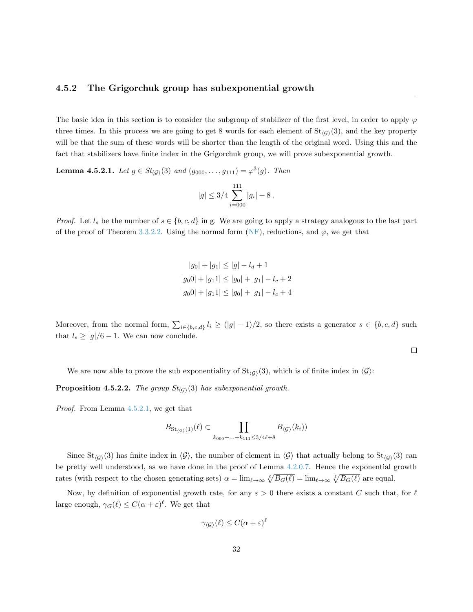#### <span id="page-32-0"></span>4.5.2 The Grigorchuk group has subexponential growth

The basic idea in this section is to consider the subgroup of stabilizer of the first level, in order to apply  $\varphi$ three times. In this process we are going to get 8 words for each element of  $St_{\langle G \rangle}(3)$ , and the key property will be that the sum of these words will be shorter than the length of the original word. Using this and the fact that stabilizers have finite index in the Grigorchuk group, we will prove subexponential growth.

**Lemma 4.5.2.1.** Let  $g \in St_{\langle \mathcal{G} \rangle}(3)$  and  $(g_{000}, \ldots, g_{111}) = \varphi^3(g)$ . Then

$$
|g| \leq 3/4 \sum_{i=000}^{111} |g_i| + 8.
$$

*Proof.* Let  $l_s$  be the number of  $s \in \{b, c, d\}$  in g. We are going to apply a strategy analogous to the last part of the proof of Theorem [3.3.2.2.](#page-19-2) Using the normal form [\(NF\)](#page-21-3), reductions, and  $\varphi$ , we get that

$$
|g_0| + |g_1| \le |g| - l_d + 1
$$
  

$$
|g_00| + |g_11| \le |g_0| + |g_1| - l_c + 2
$$
  

$$
|g_00| + |g_11| \le |g_0| + |g_1| - l_c + 4
$$

Moreover, from the normal form,  $\sum_{i\in\{b,c,d\}} l_i \geq (|g|-1)/2$ , so there exists a generator  $s \in \{b,c,d\}$  such that  $l_s \ge |g|/6 - 1$ . We can now conclude.

 $\Box$ 

We are now able to prove the sub exponentiality of  $St_{\mathcal{G}}(3)$ , which is of finite index in  $\mathcal{G}$ :

**Proposition 4.5.2.2.** The group  $St_{\langle G \rangle}(3)$  has subexponential growth.

Proof. From Lemma [4.5.2.1,](#page-30-2) we get that

$$
B_{\mathsf{St}_{\langle \mathcal{G} \rangle}(1)}(\ell) \subset \prod_{k_{000}+\ldots+k_{111} \leq 3/4\ell+8} B_{\langle \mathcal{G} \rangle}(k_i))
$$

Since  $St_{(G)}(3)$  has finite index in  $\langle \mathcal{G} \rangle$ , the number of element in  $\langle \mathcal{G} \rangle$  that actually belong to  $St_{(G)}(3)$  can be pretty well understood, as we have done in the proof of Lemma [4.2.0.7.](#page-27-1) Hence the exponential growth rates (with respect to the chosen generating sets)  $\alpha = \lim_{\ell \to \infty} \sqrt[\ell]{B_G(\ell)} = \lim_{\ell \to \infty} \sqrt[\ell]{B_G(\ell)}$  are equal.

Now, by definition of exponential growth rate, for any  $\varepsilon > 0$  there exists a constant C such that, for  $\ell$ large enough,  $\gamma_G(\ell) \leq C(\alpha + \varepsilon)^{\ell}$ . We get that

$$
\gamma_{\langle \mathcal{G} \rangle}(\ell) \le C(\alpha + \varepsilon)^{\ell}
$$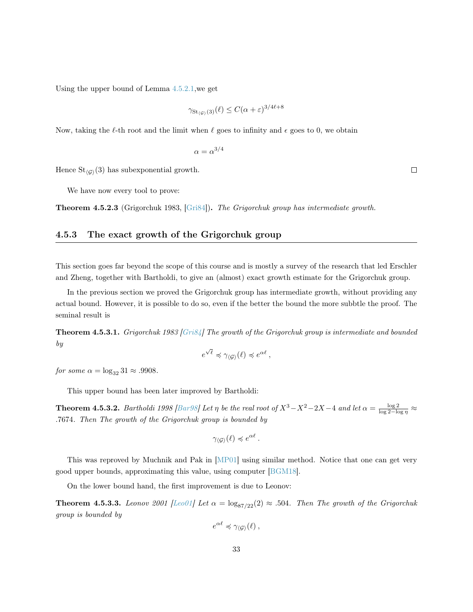Using the upper bound of Lemma [4.5.2.1,](#page-30-2)we get

$$
\gamma_{\mathrm{St}_{\langle \mathcal{G} \rangle}(3)}(\ell) \le C(\alpha + \varepsilon)^{3/4\ell + 8}
$$

Now, taking the  $\ell$ -th root and the limit when  $\ell$  goes to infinity and  $\epsilon$  goes to 0, we obtain

$$
\alpha = \alpha^{3/4}
$$

Hence  $St_{\langle G \rangle}(3)$  has subexponential growth.

We have now every tool to prove:

Theorem 4.5.2.3 (Grigorchuk 1983, [\[Gri84\]](#page-37-13)). The Grigorchuk group has intermediate growth.

### <span id="page-33-0"></span>4.5.3 The exact growth of the Grigorchuk group

This section goes far beyond the scope of this course and is mostly a survey of the research that led Erschler and Zheng, together with Bartholdi, to give an (almost) exact growth estimate for the Grigorchuk group.

In the previous section we proved the Grigorchuk group has intermediate growth, without providing any actual bound. However, it is possible to do so, even if the better the bound the more subbtle the proof. The seminal result is

Theorem 4.5.3.1. Grigorchuk 1983 [\[Gri84\]](#page-37-13) The growth of the Grigorchuk group is intermediate and bounded by √

$$
e^{\sqrt{\ell}} \preccurlyeq \gamma_{\langle \mathcal{G} \rangle}(\ell) \preccurlyeq e^{\alpha \ell} ,
$$

for some  $\alpha = \log_{32} 31 \approx .9908$ .

This upper bound has been later improved by Bartholdi:

**Theorem 4.5.3.2.** Bartholdi 1998 [\[Bar98\]](#page-36-8) Let  $\eta$  be the real root of  $X^3 - X^2 - 2X - 4$  and let  $\alpha = \frac{\log 2}{\log 2 - \log \eta} \approx$ .7674. Then The growth of the Grigorchuk group is bounded by

$$
\gamma_{\langle \mathcal{G} \rangle}(\ell) \preccurlyeq e^{\alpha \ell}.
$$

This was reproved by Muchnik and Pak in [\[MP01\]](#page-37-14) using similar method. Notice that one can get very good upper bounds, approximating this value, using computer [\[BGM18\]](#page-36-9).

On the lower bound hand, the first improvement is due to Leonov:

**Theorem 4.5.3.3.** Leonov 2001 [\[Leo01\]](#page-37-15) Let  $\alpha = \log_{87/22}(2) \approx .504$ . Then The growth of the Grigorchuk group is bounded by

$$
e^{\alpha \ell} \preccurlyeq \gamma_{\langle \mathcal{G} \rangle}(\ell) ,
$$

 $\Box$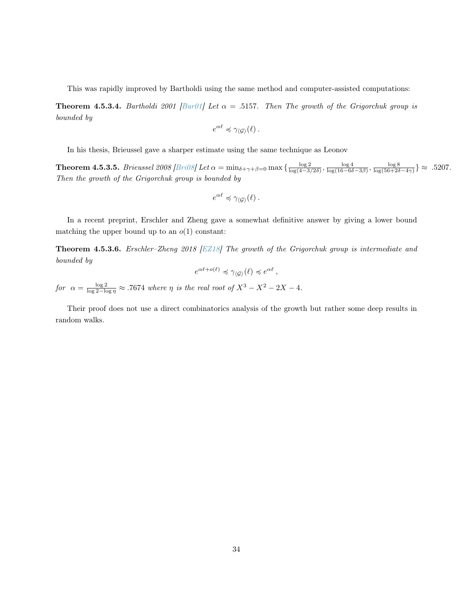This was rapidly improved by Bartholdi using the same method and computer-assisted computations:

**Theorem 4.5.3.4.** Bartholdi 2001 [\[Bar01\]](#page-36-10) Let  $\alpha = .5157$ . Then The growth of the Grigorchuk group is bounded by

$$
e^{\alpha \ell} \preccurlyeq \gamma_{\langle \mathcal{G} \rangle}(\ell).
$$

In his thesis, Brieussel gave a sharper estimate using the same technique as Leonov

**Theorem 4.5.3.5.** Brieussel 2008 [\[Bri08\]](#page-36-11) Let  $\alpha = \min_{\delta + \gamma + \beta = 0} \max\left\{ \frac{\log 2}{\log(4 - 3/2\delta)}, \frac{\log 4}{\log(16 - 6\delta - 3\beta)}, \frac{\log 8}{\log(56 + 2\delta - 4\gamma)} \right\} \approx .5207$ . Then the growth of the Grigorchuk group is bounded by

$$
e^{\alpha \ell} \preccurlyeq \gamma_{\langle \mathcal{G} \rangle}(\ell).
$$

In a recent preprint, Erschler and Zheng gave a somewhat definitive answer by giving a lower bound matching the upper bound up to an  $o(1)$  constant:

Theorem 4.5.3.6. Erschler–Zheng 2018 [\[EZ18\]](#page-37-16) The growth of the Grigorchuk group is intermediate and bounded by

$$
e^{\alpha\ell+o(\ell)} \preccurlyeq \gamma_{\langle \mathcal{G} \rangle}(\ell) \preccurlyeq e^{\alpha\ell} \,,
$$

for  $\alpha = \frac{\log 2}{\log 2 - \log \eta} \approx .7674$  where  $\eta$  is the real root of  $X^3 - X^2 - 2X - 4$ .

Their proof does not use a direct combinatorics analysis of the growth but rather some deep results in random walks.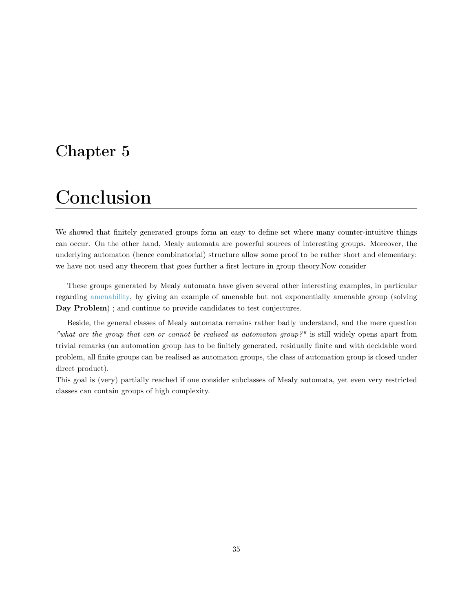## <span id="page-35-0"></span>Chapter 5

## Conclusion

We showed that finitely generated groups form an easy to define set where many counter-intuitive things can occur. On the other hand, Mealy automata are powerful sources of interesting groups. Moreover, the underlying automaton (hence combinatorial) structure allow some proof to be rather short and elementary: we have not used any theorem that goes further a first lecture in group theory.Now consider

These groups generated by Mealy automata have given several other interesting examples, in particular regarding [amenability,](https://en.wikipedia.org/wiki/Amenable_group) by giving an example of amenable but not exponentially amenable group (solving Day Problem) ; and continue to provide candidates to test conjectures.

Beside, the general classes of Mealy automata remains rather badly understand, and the mere question "what are the group that can or cannot be realised as automaton group?" is still widely opens apart from trivial remarks (an automation group has to be finitely generated, residually finite and with decidable word problem, all finite groups can be realised as automaton groups, the class of automation group is closed under direct product).

This goal is (very) partially reached if one consider subclasses of Mealy automata, yet even very restricted classes can contain groups of high complexity.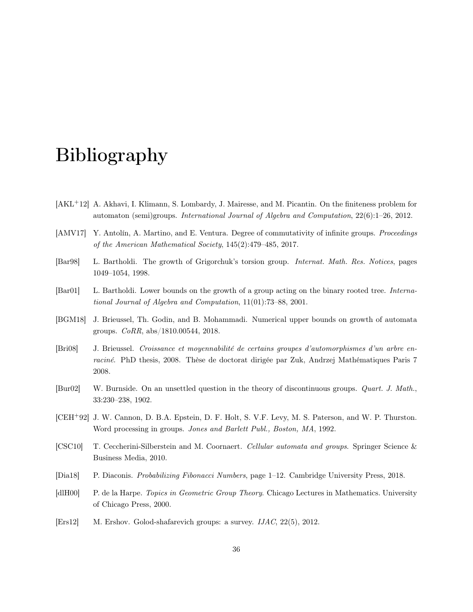## Bibliography

- <span id="page-36-6"></span>[AKL+12] A. Akhavi, I. Klimann, S. Lombardy, J. Mairesse, and M. Picantin. On the finiteness problem for automaton (semi)groups. International Journal of Algebra and Computation, 22(6):1–26, 2012.
- <span id="page-36-3"></span>[AMV17] Y. Antolín, A. Martino, and E. Ventura. Degree of commutativity of infinite groups. Proceedings of the American Mathematical Society, 145(2):479–485, 2017.
- <span id="page-36-8"></span>[Bar98] L. Bartholdi. The growth of Grigorchuk's torsion group. Internat. Math. Res. Notices, pages 1049–1054, 1998.
- <span id="page-36-10"></span>[Bar01] L. Bartholdi. Lower bounds on the growth of a group acting on the binary rooted tree. International Journal of Algebra and Computation, 11(01):73–88, 2001.
- <span id="page-36-9"></span>[BGM18] J. Brieussel, Th. Godin, and B. Mohammadi. Numerical upper bounds on growth of automata groups. CoRR, abs/1810.00544, 2018.
- <span id="page-36-11"></span>[Bri08] J. Brieussel. Croissance et moyennabilité de certains groupes d'automorphismes d'un arbre enraciné. PhD thesis, 2008. Thèse de doctorat dirigée par Zuk, Andrzej Mathématiques Paris 7 2008.
- <span id="page-36-4"></span>[Bur02] W. Burnside. On an unsettled question in the theory of discontinuous groups. Quart. J. Math., 33:230–238, 1902.
- <span id="page-36-7"></span>[CEH<sup>+</sup>92] J. W. Cannon, D. B.A. Epstein, D. F. Holt, S. V.F. Levy, M. S. Paterson, and W. P. Thurston. Word processing in groups. Jones and Barlett Publ., Boston, MA, 1992.
- <span id="page-36-1"></span>[CSC10] T. Ceccherini-Silberstein and M. Coornaert. Cellular automata and groups. Springer Science & Business Media, 2010.
- <span id="page-36-2"></span>[Dia18] P. Diaconis. Probabilizing Fibonacci Numbers, page 1–12. Cambridge University Press, 2018.
- <span id="page-36-0"></span>[dlH00] P. de la Harpe. Topics in Geometric Group Theory. Chicago Lectures in Mathematics. University of Chicago Press, 2000.
- <span id="page-36-5"></span>[Ers12] M. Ershov. Golod-shafarevich groups: a survey. IJAC, 22(5), 2012.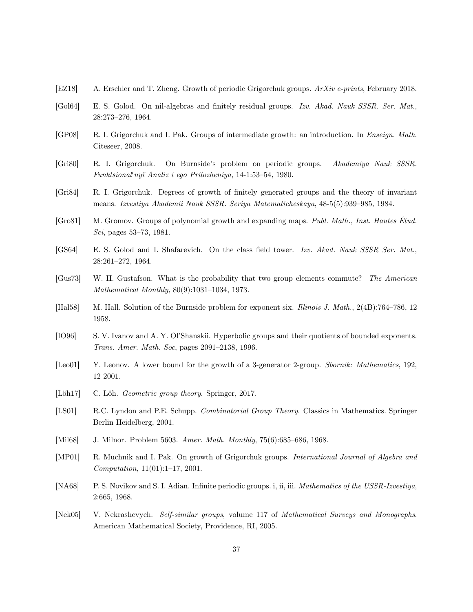- <span id="page-37-16"></span>[EZ18] A. Erschler and T. Zheng. Growth of periodic Grigorchuk groups. ArXiv e-prints, February 2018.
- <span id="page-37-4"></span>[Gol64] E. S. Golod. On nil-algebras and finitely residual groups. Izv. Akad. Nauk SSSR. Ser. Mat., 28:273–276, 1964.
- <span id="page-37-12"></span>[GP08] R. I. Grigorchuk and I. Pak. Groups of intermediate growth: an introduction. In Enseign. Math. Citeseer, 2008.
- <span id="page-37-9"></span>[Gri80] R. I. Grigorchuk. On Burnside's problem on periodic groups. Akademiya Nauk SSSR. Funktsional'nyĭ Analiz i ego Prilozheniya, 14-1:53-54, 1980.
- <span id="page-37-13"></span>[Gri84] R. I. Grigorchuk. Degrees of growth of finitely generated groups and the theory of invariant means. Izvestiya Akademii Nauk SSSR. Seriya Matematicheskaya, 48-5(5):939–985, 1984.
- <span id="page-37-11"></span>[Gro81] M. Gromov. Groups of polynomial growth and expanding maps. Publ. Math., Inst. Hautes Étud. Sci, pages 53–73, 1981.
- <span id="page-37-3"></span>[GS64] E. S. Golod and I. Shafarevich. On the class field tower. Izv. Akad. Nauk SSSR Ser. Mat., 28:261–272, 1964.
- <span id="page-37-2"></span>[Gus73] W. H. Gustafson. What is the probability that two group elements commute? The American Mathematical Monthly, 80(9):1031–1034, 1973.
- <span id="page-37-7"></span>[Hal58] M. Hall. Solution of the Burnside problem for exponent six. Illinois J. Math., 2(4B):764–786, 12 1958.
- <span id="page-37-6"></span>[IO96] S. V. Ivanov and A. Y. Ol'Shanskii. Hyperbolic groups and their quotients of bounded exponents. Trans. Amer. Math. Soc, pages 2091–2138, 1996.
- <span id="page-37-15"></span>[Leo01] Y. Leonov. A lower bound for the growth of a 3-generator 2-group. Sbornik: Mathematics, 192, 12 2001.
- <span id="page-37-1"></span>[Löh17] C. Löh. *Geometric group theory*. Springer, 2017.
- <span id="page-37-0"></span>[LS01] R.C. Lyndon and P.E. Schupp. Combinatorial Group Theory. Classics in Mathematics. Springer Berlin Heidelberg, 2001.
- <span id="page-37-10"></span>[Mil68] J. Milnor. Problem 5603. Amer. Math. Monthly, 75(6):685–686, 1968.
- <span id="page-37-14"></span>[MP01] R. Muchnik and I. Pak. On growth of Grigorchuk groups. International Journal of Algebra and Computation, 11(01):1–17, 2001.
- <span id="page-37-5"></span>[NA68] P. S. Novikov and S. I. Adian. Infinite periodic groups. i, ii, iii. *Mathematics of the USSR-Izvestiya*, 2:665, 1968.
- <span id="page-37-8"></span>[Nek05] V. Nekrashevych. Self-similar groups, volume 117 of Mathematical Surveys and Monographs. American Mathematical Society, Providence, RI, 2005.